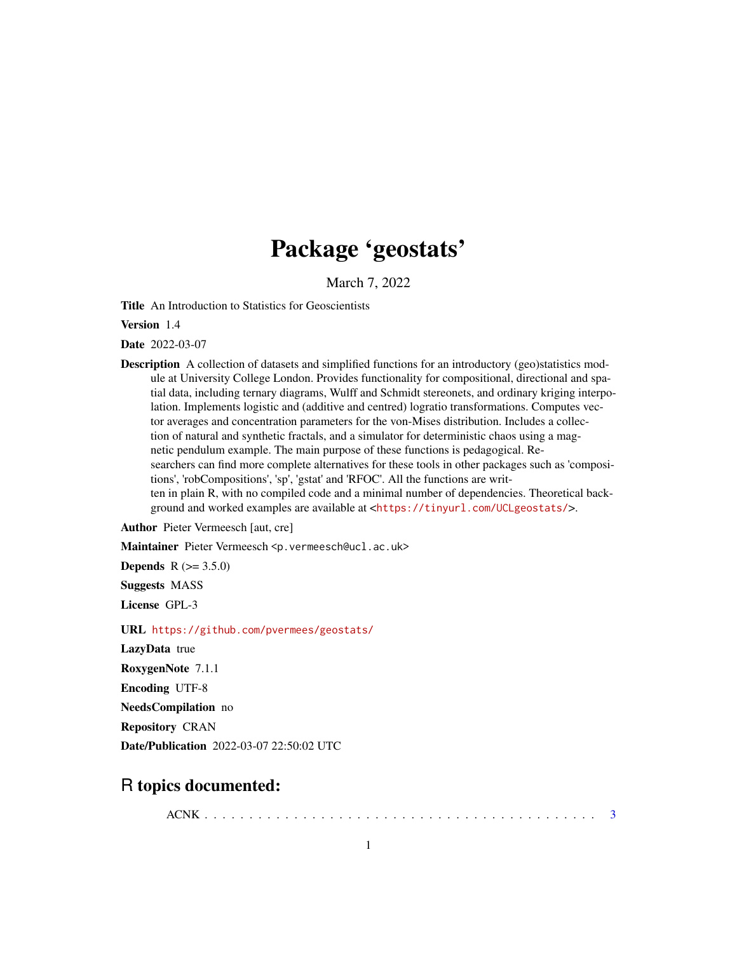# Package 'geostats'

March 7, 2022

Title An Introduction to Statistics for Geoscientists

Version 1.4

Date 2022-03-07

**Description** A collection of datasets and simplified functions for an introductory (geo)statistics module at University College London. Provides functionality for compositional, directional and spatial data, including ternary diagrams, Wulff and Schmidt stereonets, and ordinary kriging interpolation. Implements logistic and (additive and centred) logratio transformations. Computes vector averages and concentration parameters for the von-Mises distribution. Includes a collection of natural and synthetic fractals, and a simulator for deterministic chaos using a magnetic pendulum example. The main purpose of these functions is pedagogical. Researchers can find more complete alternatives for these tools in other packages such as 'compositions', 'robCompositions', 'sp', 'gstat' and 'RFOC'. All the functions are written in plain R, with no compiled code and a minimal number of dependencies. Theoretical background and worked examples are available at <<https://tinyurl.com/UCLgeostats/>>.

Author Pieter Vermeesch [aut, cre]

Maintainer Pieter Vermeesch <p. vermeesch@ucl.ac.uk>

**Depends** R  $(>= 3.5.0)$ 

Suggests MASS

License GPL-3

URL <https://github.com/pvermees/geostats/>

LazyData true

RoxygenNote 7.1.1

Encoding UTF-8

NeedsCompilation no

Repository CRAN

Date/Publication 2022-03-07 22:50:02 UTC

## R topics documented:

ACNK . . . . . . . . . . . . . . . . . . . . . . . . . . . . . . . . . . . . . . . . . . . . [3](#page-2-0)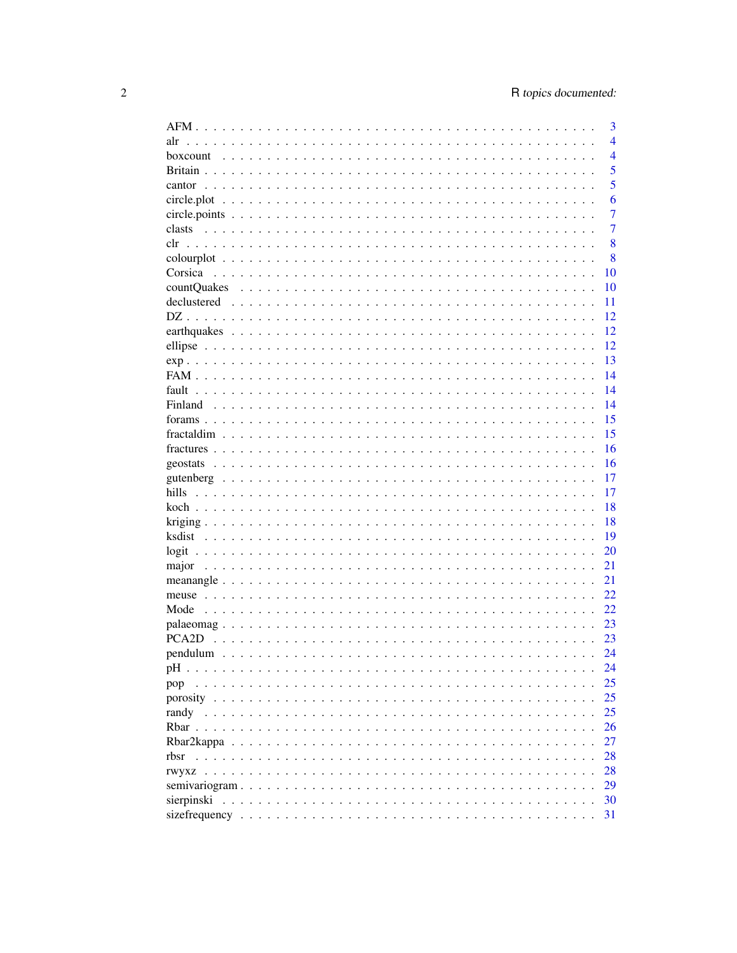|                                                                                                         | 3              |
|---------------------------------------------------------------------------------------------------------|----------------|
| alr                                                                                                     | $\overline{4}$ |
| boxcount                                                                                                | $\overline{4}$ |
|                                                                                                         | 5              |
| cantor                                                                                                  | 5              |
| circle.plot                                                                                             | 6              |
|                                                                                                         | 7              |
| clasts                                                                                                  | 7              |
| clr                                                                                                     | 8              |
|                                                                                                         | 8              |
| Corsica                                                                                                 | 10             |
| countQuakes                                                                                             | 10             |
|                                                                                                         | 11             |
|                                                                                                         | 12             |
|                                                                                                         | 12             |
|                                                                                                         |                |
|                                                                                                         | 12             |
|                                                                                                         | 13             |
|                                                                                                         | 14             |
| fault                                                                                                   | 14             |
|                                                                                                         | 14             |
|                                                                                                         | 15             |
|                                                                                                         | 15             |
|                                                                                                         | 16             |
|                                                                                                         | 16             |
|                                                                                                         | 17             |
| hills                                                                                                   | 17             |
|                                                                                                         | 18             |
|                                                                                                         | 18             |
|                                                                                                         | 19             |
|                                                                                                         | 20             |
|                                                                                                         | 21             |
|                                                                                                         | 21             |
|                                                                                                         | 22             |
| Mode                                                                                                    | 22.            |
|                                                                                                         | 23             |
|                                                                                                         | 23             |
|                                                                                                         | 24             |
| рH                                                                                                      | 24             |
| pop                                                                                                     | 25             |
|                                                                                                         | 25             |
|                                                                                                         | 25             |
|                                                                                                         | 26             |
|                                                                                                         |                |
|                                                                                                         | 27             |
| rbsr                                                                                                    | 28             |
| rwyxz                                                                                                   | 28             |
|                                                                                                         | 29             |
| sierpinski $\ldots \ldots \ldots \ldots \ldots \ldots \ldots \ldots \ldots \ldots \ldots \ldots \ldots$ | 30             |
|                                                                                                         | 31             |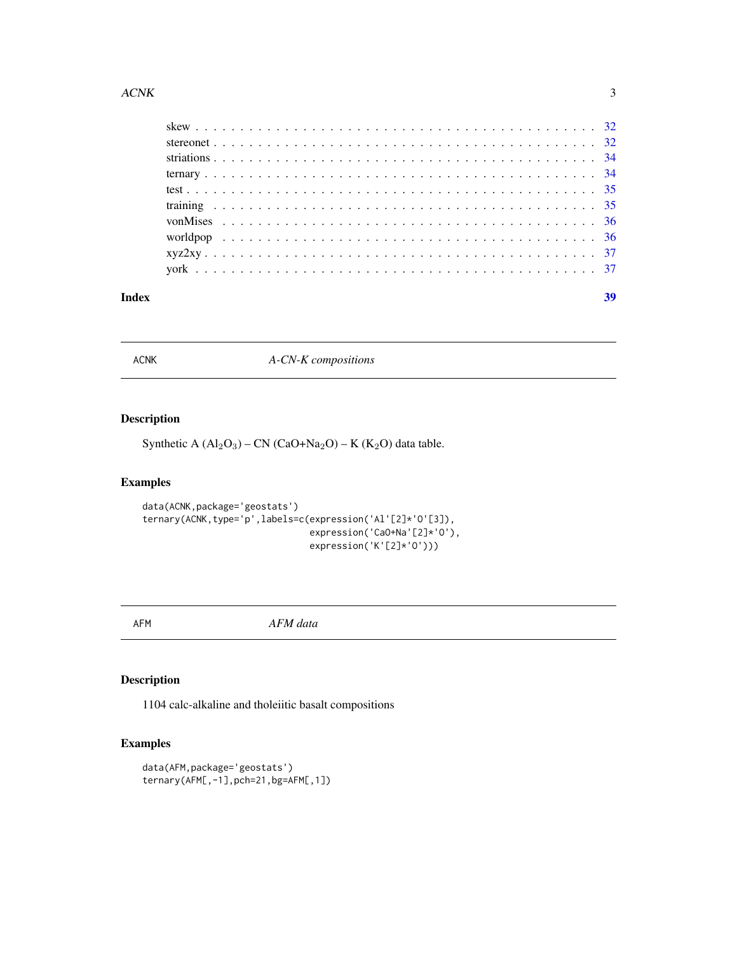<span id="page-2-0"></span>

| Index |  |  |  |  |  |  |  |  |  |  |  |  |  |  |  |  |  |  |  |  | 39 |
|-------|--|--|--|--|--|--|--|--|--|--|--|--|--|--|--|--|--|--|--|--|----|
|       |  |  |  |  |  |  |  |  |  |  |  |  |  |  |  |  |  |  |  |  |    |
|       |  |  |  |  |  |  |  |  |  |  |  |  |  |  |  |  |  |  |  |  |    |
|       |  |  |  |  |  |  |  |  |  |  |  |  |  |  |  |  |  |  |  |  |    |
|       |  |  |  |  |  |  |  |  |  |  |  |  |  |  |  |  |  |  |  |  |    |
|       |  |  |  |  |  |  |  |  |  |  |  |  |  |  |  |  |  |  |  |  |    |
|       |  |  |  |  |  |  |  |  |  |  |  |  |  |  |  |  |  |  |  |  |    |
|       |  |  |  |  |  |  |  |  |  |  |  |  |  |  |  |  |  |  |  |  |    |
|       |  |  |  |  |  |  |  |  |  |  |  |  |  |  |  |  |  |  |  |  |    |
|       |  |  |  |  |  |  |  |  |  |  |  |  |  |  |  |  |  |  |  |  |    |
|       |  |  |  |  |  |  |  |  |  |  |  |  |  |  |  |  |  |  |  |  |    |

ACNK *A-CN-K compositions*

## Description

Synthetic A  $(Al_2O_3)$  – CN  $(CaO+Na_2O)$  – K  $(K_2O)$  data table.

## Examples

```
data(ACNK,package='geostats')
ternary(ACNK,type='p',labels=c(expression('Al'[2]*'O'[3]),
                               expression('CaO+Na'[2]*'O'),
                               expression('K'[2]*'O')))
```
AFM *AFM data*

## Description

1104 calc-alkaline and tholeiitic basalt compositions

```
data(AFM,package='geostats')
ternary(AFM[,-1],pch=21,bg=AFM[,1])
```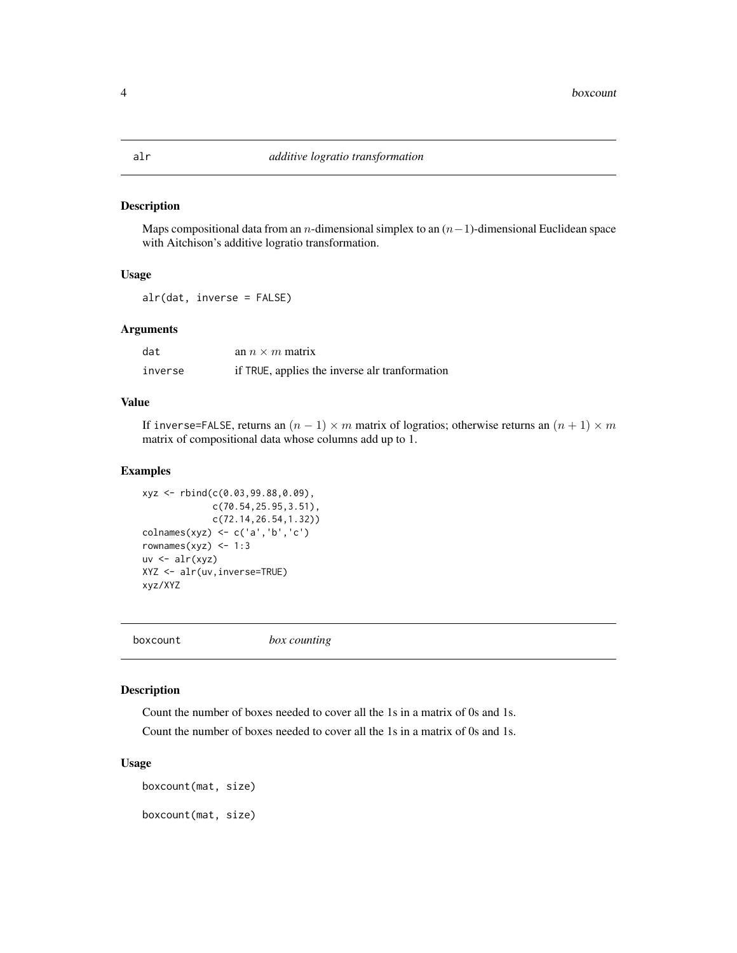<span id="page-3-0"></span>Maps compositional data from an n-dimensional simplex to an  $(n-1)$ -dimensional Euclidean space with Aitchison's additive logratio transformation.

#### Usage

alr(dat, inverse = FALSE)

#### Arguments

| dat     | an $n \times m$ matrix                         |
|---------|------------------------------------------------|
| inverse | if TRUE, applies the inverse alr tranformation |

## Value

If inverse=FALSE, returns an  $(n - 1) \times m$  matrix of logratios; otherwise returns an  $(n + 1) \times m$ matrix of compositional data whose columns add up to 1.

## Examples

```
xyz <- rbind(c(0.03,99.88,0.09),
             c(70.54,25.95,3.51),
             c(72.14,26.54,1.32))
colnames(xyz) <- c('a','b','c')
rownames(xyz) <- 1:3
uv \leftarrow alr(xyz)XYZ <- alr(uv,inverse=TRUE)
xyz/XYZ
```
boxcount *box counting*

#### Description

Count the number of boxes needed to cover all the 1s in a matrix of 0s and 1s. Count the number of boxes needed to cover all the 1s in a matrix of 0s and 1s.

#### Usage

boxcount(mat, size) boxcount(mat, size)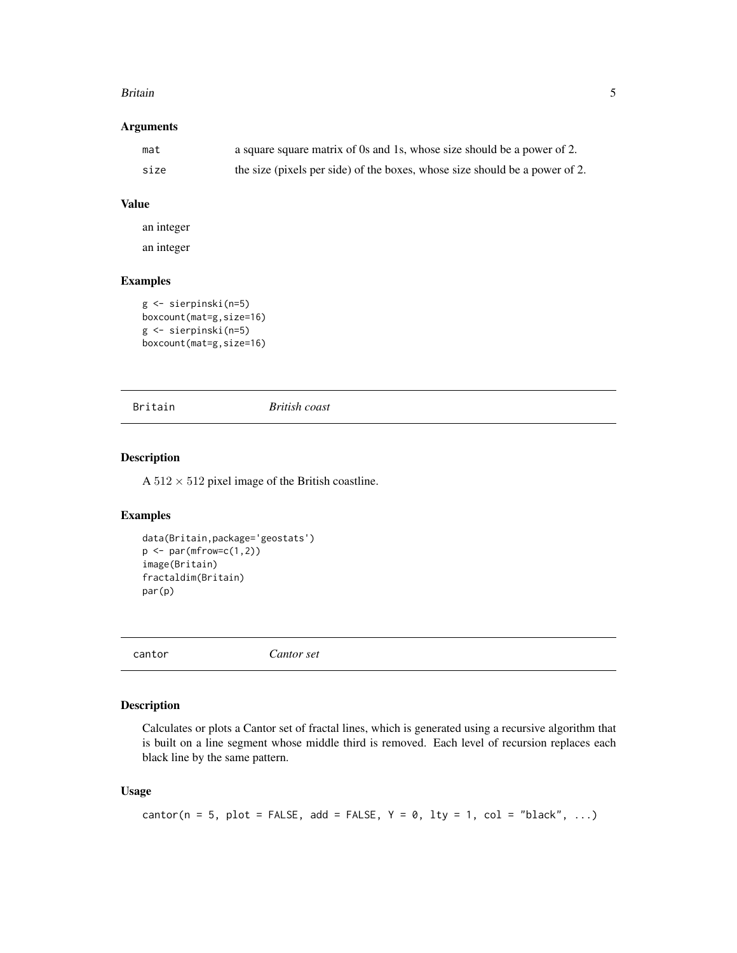#### <span id="page-4-0"></span>Britain 5

## Arguments

| mat  | a square square matrix of 0s and 1s, whose size should be a power of 2.     |
|------|-----------------------------------------------------------------------------|
| size | the size (pixels per side) of the boxes, whose size should be a power of 2. |

#### Value

an integer

an integer

## Examples

```
g <- sierpinski(n=5)
boxcount(mat=g,size=16)
g <- sierpinski(n=5)
boxcount(mat=g,size=16)
```
Britain *British coast*

#### Description

A  $512 \times 512$  pixel image of the British coastline.

## Examples

```
data(Britain,package='geostats')
p \leftarrow par(mfrow=c(1,2))image(Britain)
fractaldim(Britain)
par(p)
```
cantor *Cantor set*

## Description

Calculates or plots a Cantor set of fractal lines, which is generated using a recursive algorithm that is built on a line segment whose middle third is removed. Each level of recursion replaces each black line by the same pattern.

#### Usage

```
cantor(n = 5, plot = FALSE, add = FALSE, Y = 0, lty = 1, col = "black", ...)
```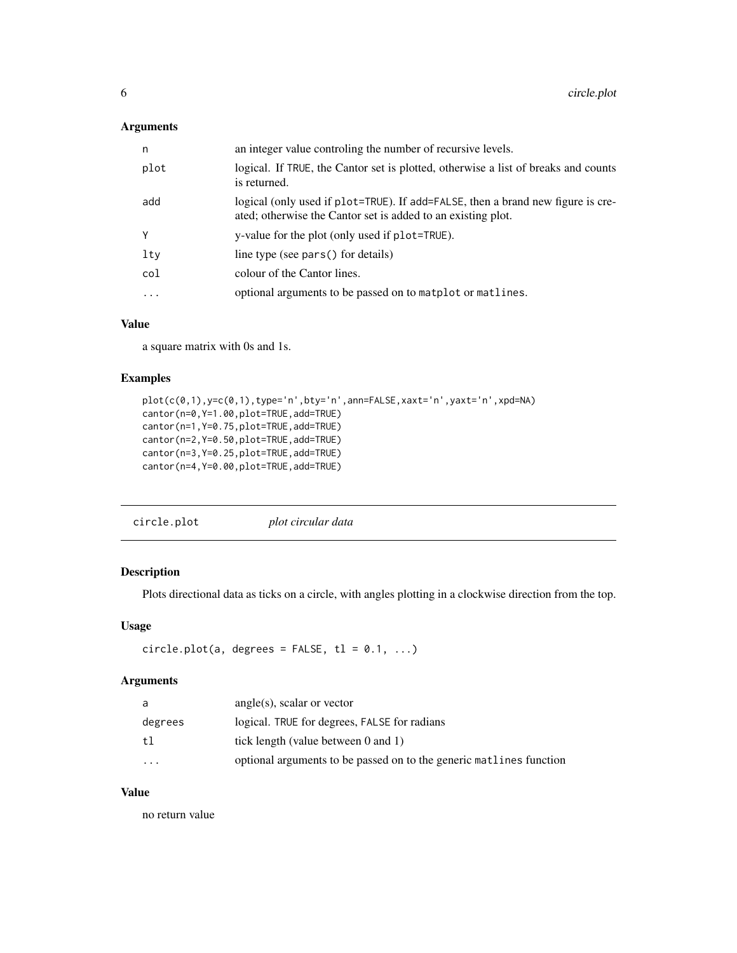## <span id="page-5-0"></span>Arguments

| n        | an integer value controling the number of recursive levels.                                                                                     |
|----------|-------------------------------------------------------------------------------------------------------------------------------------------------|
| plot     | logical. If TRUE, the Cantor set is plotted, otherwise a list of breaks and counts<br>is returned.                                              |
| add      | logical (only used if plot=TRUE). If add=FALSE, then a brand new figure is cre-<br>ated; otherwise the Cantor set is added to an existing plot. |
| Υ        | y-value for the plot (only used if plot=TRUE).                                                                                                  |
| lty      | line type (see pars() for details)                                                                                                              |
| col      | colour of the Cantor lines.                                                                                                                     |
| $\cdots$ | optional arguments to be passed on to matplot or matlines.                                                                                      |

## Value

a square matrix with 0s and 1s.

## Examples

```
plot(c(0,1),y=c(0,1),type='n',bty='n',ann=FALSE,xaxt='n',yaxt='n',xpd=NA)
cantor(n=0,Y=1.00,plot=TRUE,add=TRUE)
cantor(n=1,Y=0.75,plot=TRUE,add=TRUE)
cantor(n=2,Y=0.50,plot=TRUE,add=TRUE)
cantor(n=3,Y=0.25,plot=TRUE,add=TRUE)
cantor(n=4,Y=0.00,plot=TRUE,add=TRUE)
```

## Description

Plots directional data as ticks on a circle, with angles plotting in a clockwise direction from the top.

#### Usage

```
circle.plot(a, degrees = FALSE, tl = 0.1, ...)
```
## Arguments

| a        | $angle(s)$ , scalar or vector                                       |
|----------|---------------------------------------------------------------------|
| degrees  | logical. TRUE for degrees, FALSE for radians                        |
| tl       | tick length (value between $0$ and $1$ )                            |
| $\cdots$ | optional arguments to be passed on to the generic matlines function |

## Value

no return value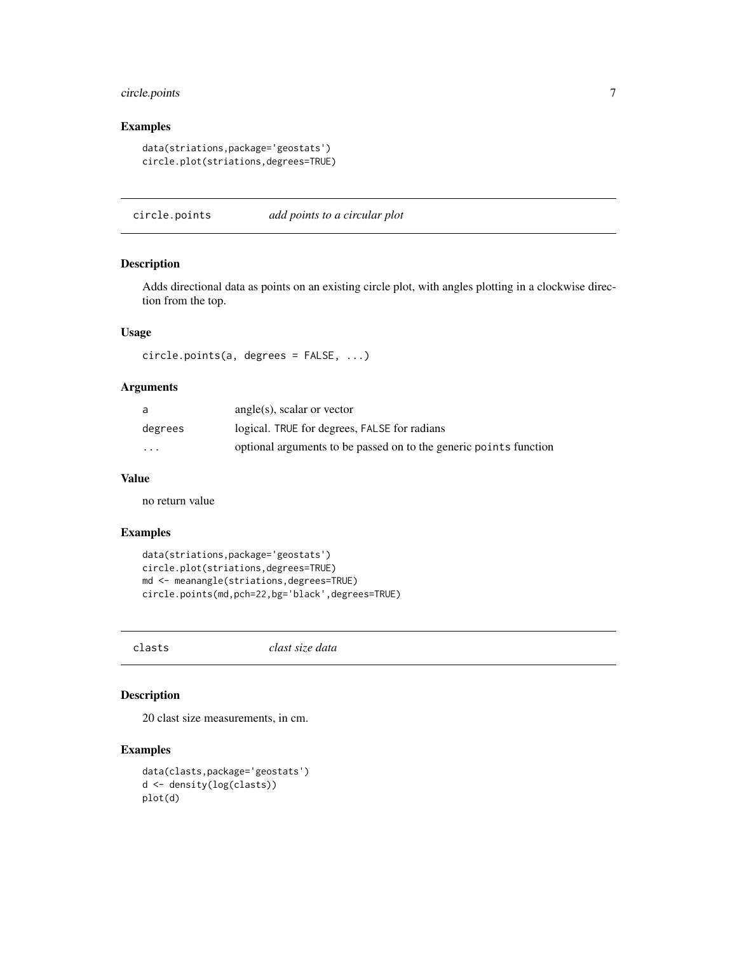## <span id="page-6-0"></span>circle.points 7

## Examples

```
data(striations,package='geostats')
circle.plot(striations,degrees=TRUE)
```
circle.points *add points to a circular plot*

## Description

Adds directional data as points on an existing circle plot, with angles plotting in a clockwise direction from the top.

#### Usage

circle.points(a, degrees = FALSE, ...)

#### Arguments

| a                       | angle(s), scalar or vector                                        |
|-------------------------|-------------------------------------------------------------------|
| degrees                 | logical. TRUE for degrees, FALSE for radians                      |
| $\cdot$ $\cdot$ $\cdot$ | optional arguments to be passed on to the generic points function |

#### Value

no return value

#### Examples

```
data(striations,package='geostats')
circle.plot(striations,degrees=TRUE)
md <- meanangle(striations,degrees=TRUE)
circle.points(md,pch=22,bg='black',degrees=TRUE)
```
clasts *clast size data*

## Description

20 clast size measurements, in cm.

```
data(clasts,package='geostats')
d <- density(log(clasts))
plot(d)
```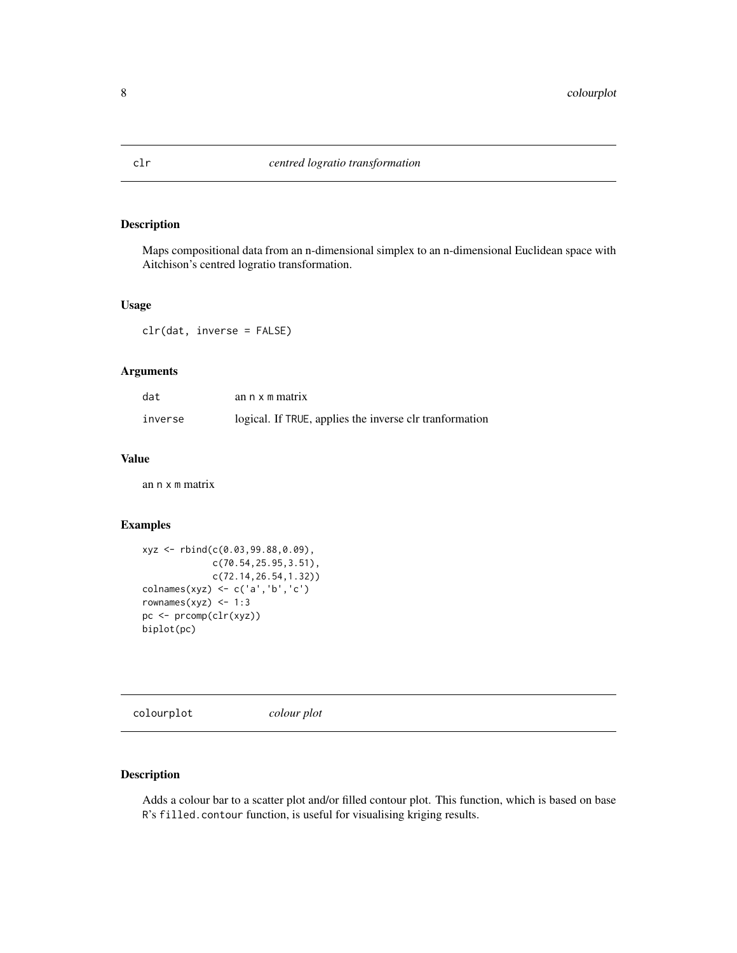<span id="page-7-0"></span>

Maps compositional data from an n-dimensional simplex to an n-dimensional Euclidean space with Aitchison's centred logratio transformation.

### Usage

clr(dat, inverse = FALSE)

## Arguments

| dat     | an n x m matrix                                          |
|---------|----------------------------------------------------------|
| inverse | logical. If TRUE, applies the inverse clr transformation |

## Value

an n x m matrix

## Examples

```
xyz <- rbind(c(0.03,99.88,0.09),
             c(70.54,25.95,3.51),
             c(72.14,26.54,1.32))
colnames(xyz) <- c('a','b','c')
rownames(xyz) <-1:3pc <- prcomp(clr(xyz))
biplot(pc)
```
colourplot *colour plot*

#### Description

Adds a colour bar to a scatter plot and/or filled contour plot. This function, which is based on base R's filled.contour function, is useful for visualising kriging results.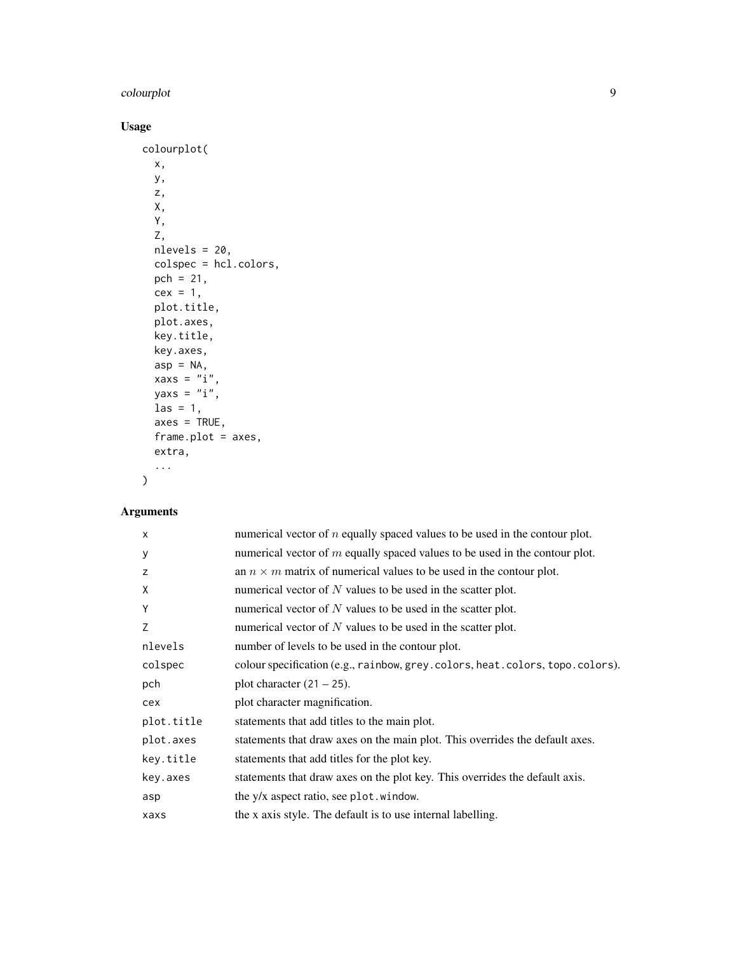## colourplot 9

## Usage

```
colourplot(
  x,
  y,
  z,
  X,
  Y,
  Z,
  nlevels = 20,
  colspec = hcl.colors,
  pch = 21,
  cex = 1,
 plot.title,
  plot.axes,
  key.title,
  key.axes,
  asp = NA,xaxs = "i",yaxs = "i",\text{las} = 1,
  axes = TRUE,frame.plot = axes,
  extra,
  ...
```
## Arguments

 $\mathcal{L}$ 

| $\times$   | numerical vector of $n$ equally spaced values to be used in the contour plot. |
|------------|-------------------------------------------------------------------------------|
| У          | numerical vector of $m$ equally spaced values to be used in the contour plot. |
| z          | an $n \times m$ matrix of numerical values to be used in the contour plot.    |
| X          | numerical vector of $N$ values to be used in the scatter plot.                |
| Y          | numerical vector of $N$ values to be used in the scatter plot.                |
| Z          | numerical vector of $N$ values to be used in the scatter plot.                |
| nlevels    | number of levels to be used in the contour plot.                              |
| colspec    | colour specification (e.g., rainbow, grey.colors, heat.colors, topo.colors).  |
| pch        | plot character $(21 – 25)$ .                                                  |
| cex        | plot character magnification.                                                 |
| plot.title | statements that add titles to the main plot.                                  |
| plot.axes  | statements that draw axes on the main plot. This overrides the default axes.  |
| key.title  | statements that add titles for the plot key.                                  |
| key.axes   | statements that draw axes on the plot key. This overrides the default axis.   |
| asp        | the y/x aspect ratio, see plot . window.                                      |
| xaxs       | the x axis style. The default is to use internal labelling.                   |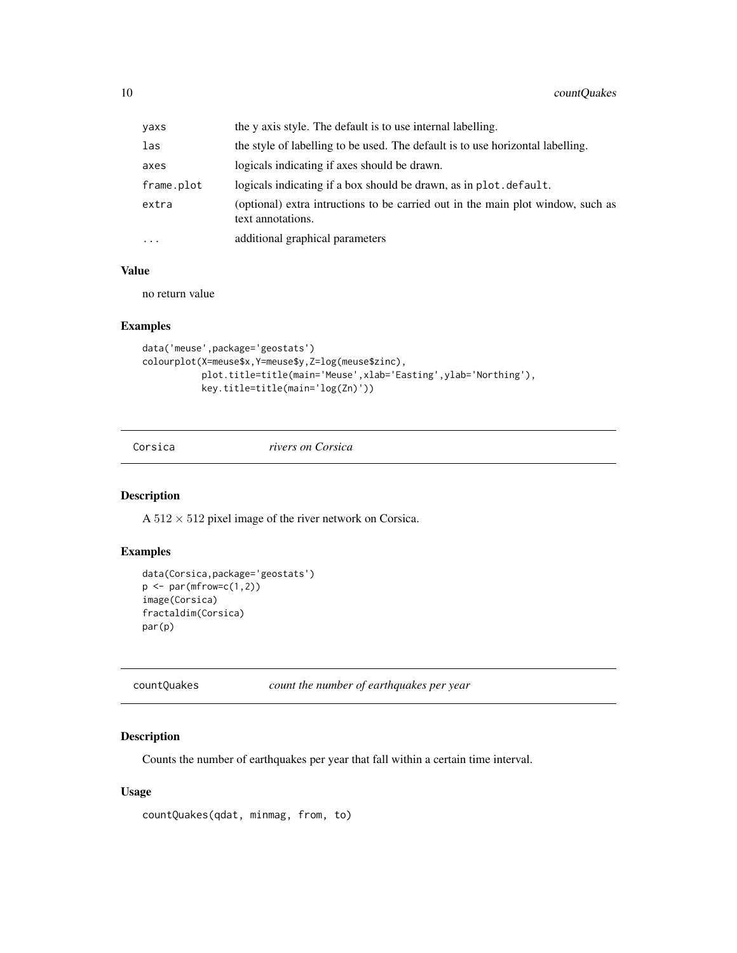<span id="page-9-0"></span>

| yaxs       | the y axis style. The default is to use internal labelling.                                          |
|------------|------------------------------------------------------------------------------------------------------|
| las        | the style of labelling to be used. The default is to use horizontal labelling.                       |
| axes       | logicals indicating if axes should be drawn.                                                         |
| frame.plot | logicals indicating if a box should be drawn, as in plot, default.                                   |
| extra      | (optional) extra intructions to be carried out in the main plot window, such as<br>text annotations. |
| .          | additional graphical parameters                                                                      |

## Value

no return value

#### Examples

```
data('meuse',package='geostats')
colourplot(X=meuse$x,Y=meuse$y,Z=log(meuse$zinc),
          plot.title=title(main='Meuse',xlab='Easting',ylab='Northing'),
          key.title=title(main='log(Zn)'))
```
Corsica *rivers on Corsica*

## Description

A  $512 \times 512$  pixel image of the river network on Corsica.

## Examples

```
data(Corsica,package='geostats')
p \leftarrow par(mfrow=c(1,2))image(Corsica)
fractaldim(Corsica)
par(p)
```

| countQuakes | count the number of earthquakes per year |  |  |  |  |
|-------------|------------------------------------------|--|--|--|--|
|-------------|------------------------------------------|--|--|--|--|

## Description

Counts the number of earthquakes per year that fall within a certain time interval.

## Usage

```
countQuakes(qdat, minmag, from, to)
```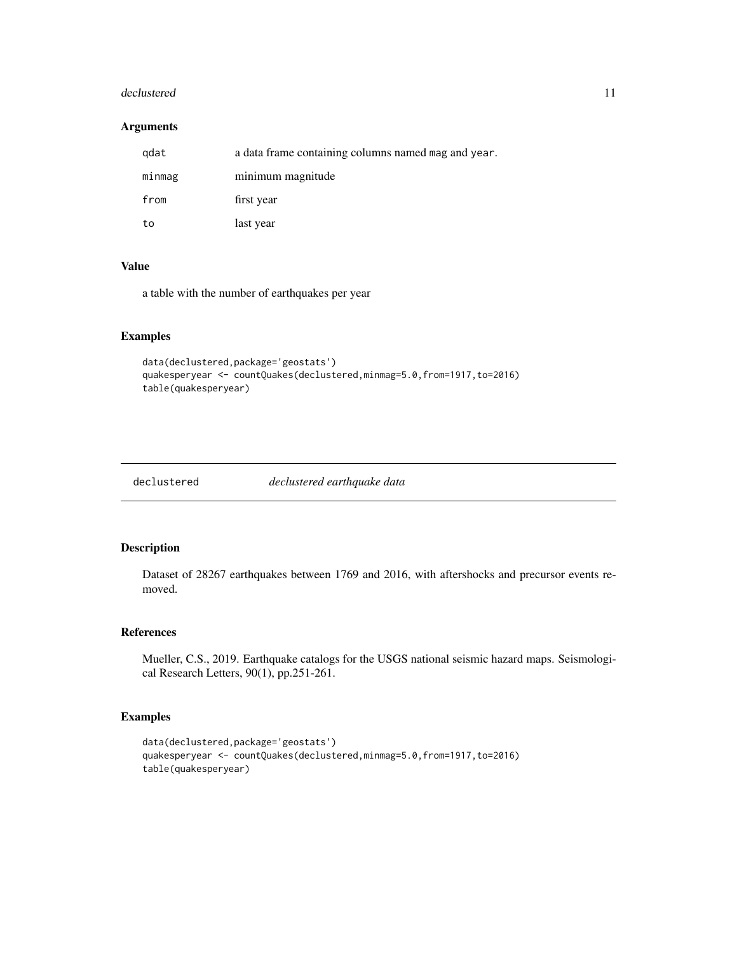#### <span id="page-10-0"></span>declustered the contract of the contract of the contract of the contract of the contract of the contract of the contract of the contract of the contract of the contract of the contract of the contract of the contract of th

## Arguments

| gdat   | a data frame containing columns named mag and year. |
|--------|-----------------------------------------------------|
| minmag | minimum magnitude                                   |
| from   | first year                                          |
| to     | last year                                           |

#### Value

a table with the number of earthquakes per year

## Examples

```
data(declustered,package='geostats')
quakesperyear <- countQuakes(declustered,minmag=5.0,from=1917,to=2016)
table(quakesperyear)
```
declustered *declustered earthquake data*

## Description

Dataset of 28267 earthquakes between 1769 and 2016, with aftershocks and precursor events removed.

### References

Mueller, C.S., 2019. Earthquake catalogs for the USGS national seismic hazard maps. Seismological Research Letters, 90(1), pp.251-261.

```
data(declustered,package='geostats')
quakesperyear <- countQuakes(declustered,minmag=5.0,from=1917,to=2016)
table(quakesperyear)
```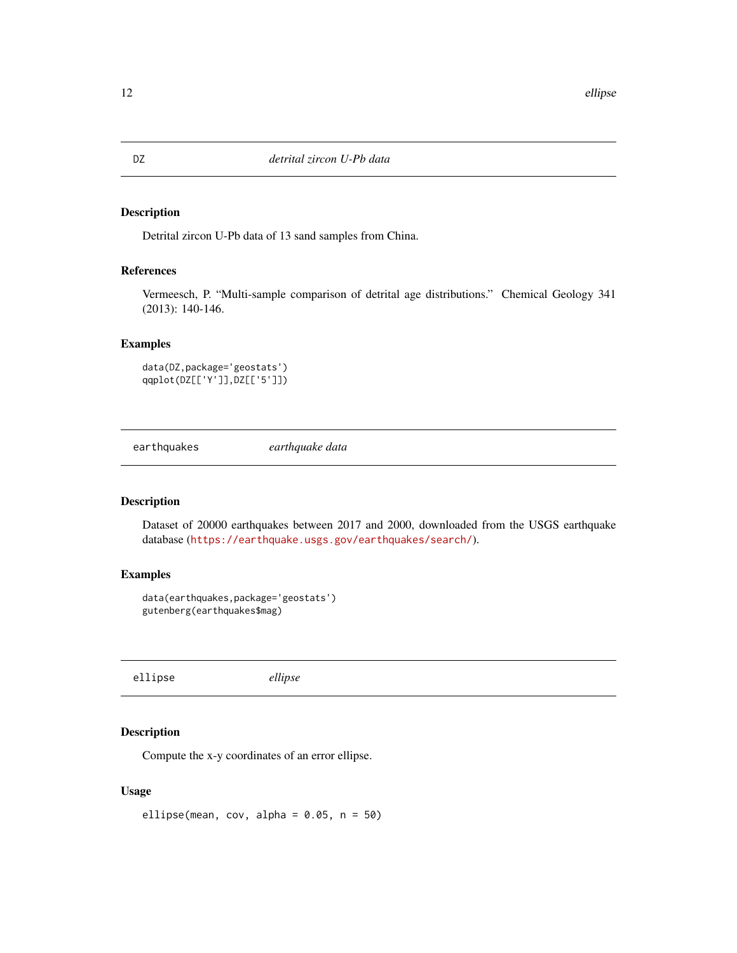Detrital zircon U-Pb data of 13 sand samples from China.

## References

Vermeesch, P. "Multi-sample comparison of detrital age distributions." Chemical Geology 341 (2013): 140-146.

## Examples

```
data(DZ,package='geostats')
qqplot(DZ[['Y']],DZ[['5']])
```
earthquakes *earthquake data*

#### Description

Dataset of 20000 earthquakes between 2017 and 2000, downloaded from the USGS earthquake database (<https://earthquake.usgs.gov/earthquakes/search/>).

## Examples

```
data(earthquakes,package='geostats')
gutenberg(earthquakes$mag)
```
ellipse *ellipse*

## Description

Compute the x-y coordinates of an error ellipse.

#### Usage

ellipse(mean, cov, alpha =  $0.05$ , n =  $50$ )

<span id="page-11-0"></span>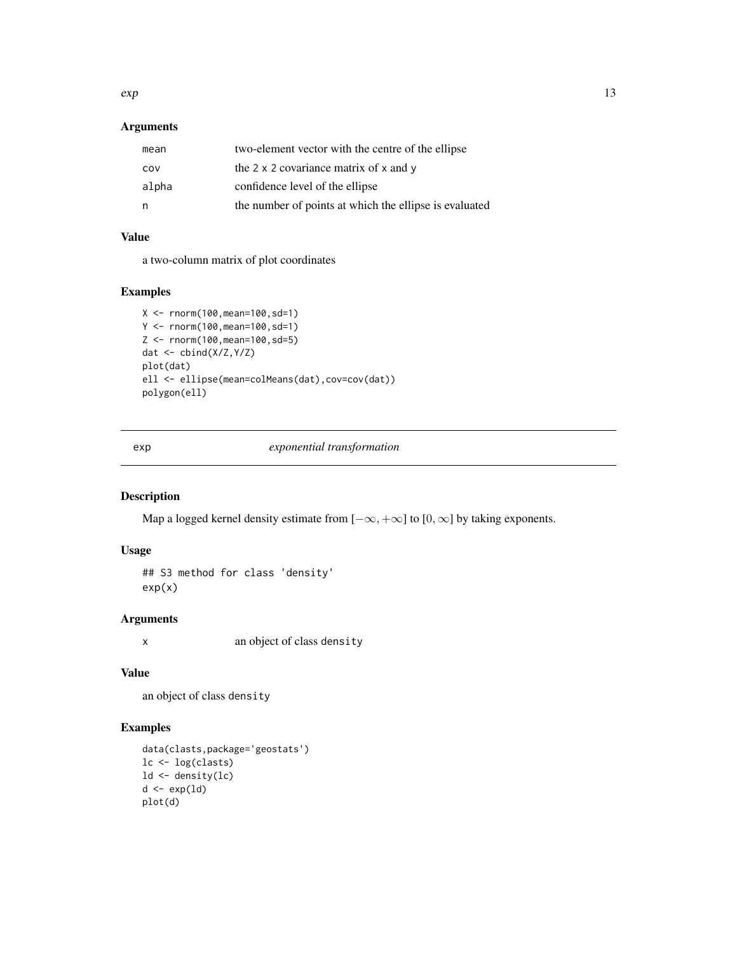<span id="page-12-0"></span> $\exp$  13

## Arguments

| mean  | two-element vector with the centre of the ellipse           |
|-------|-------------------------------------------------------------|
| COV   | the $2 \times 2$ covariance matrix of $\times$ and $\times$ |
| alpha | confidence level of the ellipse                             |
| n,    | the number of points at which the ellipse is evaluated      |

## Value

a two-column matrix of plot coordinates

## Examples

```
X <- rnorm(100,mean=100,sd=1)
Y <- rnorm(100,mean=100,sd=1)
Z <- rnorm(100,mean=100,sd=5)
dat <- cbind(X/Z,Y/Z)
plot(dat)
ell <- ellipse(mean=colMeans(dat),cov=cov(dat))
polygon(ell)
```
exp *exponential transformation*

## Description

Map a logged kernel density estimate from  $[-\infty, +\infty]$  to  $[0, \infty]$  by taking exponents.

## Usage

## S3 method for class 'density' exp(x)

## Arguments

x an object of class density

#### Value

an object of class density

```
data(clasts,package='geostats')
lc <- log(clasts)
ld <- density(lc)
d \leftarrow \exp(1d)plot(d)
```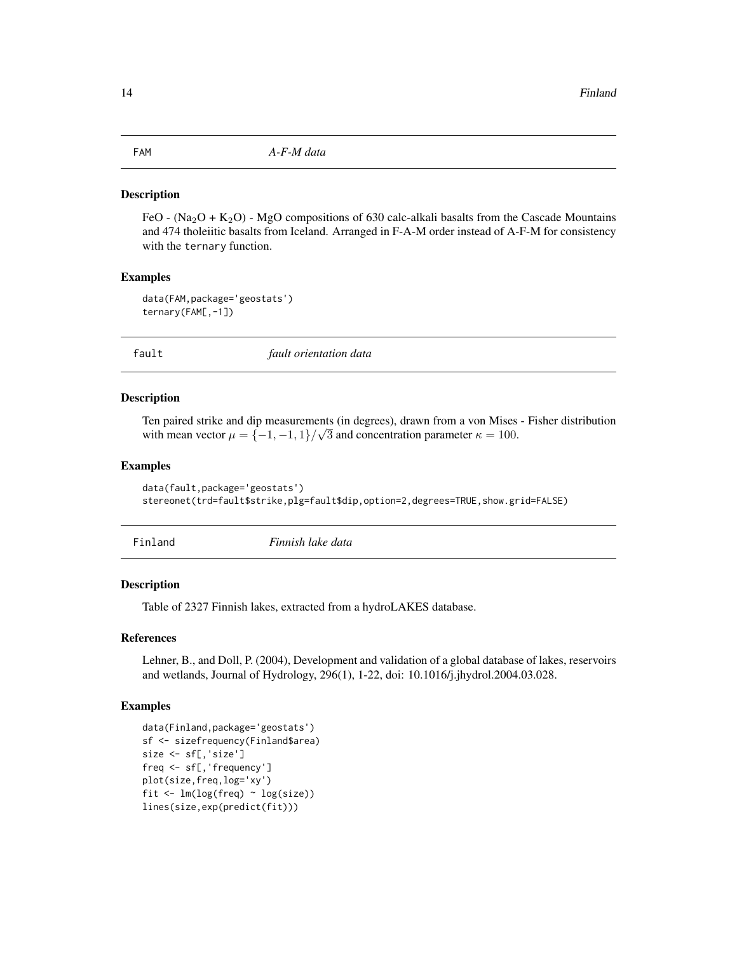<span id="page-13-0"></span>

FeO -  $(Na_2O + K_2O)$  - MgO compositions of 630 calc-alkali basalts from the Cascade Mountains and 474 tholeiitic basalts from Iceland. Arranged in F-A-M order instead of A-F-M for consistency with the ternary function.

## Examples

data(FAM,package='geostats') ternary(FAM[,-1])

fault *fault orientation data*

#### Description

Ten paired strike and dip measurements (in degrees), drawn from a von Mises - Fisher distribution with mean vector  $\mu = \{-1, -1, 1\}/\sqrt{3}$  and concentration parameter  $\kappa = 100$ .

#### Examples

```
data(fault,package='geostats')
stereonet(trd=fault$strike,plg=fault$dip,option=2,degrees=TRUE,show.grid=FALSE)
```
Finland *Finnish lake data*

#### Description

Table of 2327 Finnish lakes, extracted from a hydroLAKES database.

#### References

Lehner, B., and Doll, P. (2004), Development and validation of a global database of lakes, reservoirs and wetlands, Journal of Hydrology, 296(1), 1-22, doi: 10.1016/j.jhydrol.2004.03.028.

```
data(Finland,package='geostats')
sf <- sizefrequency(Finland$area)
size <- sf[,'size']
freq <- sf[,'frequency']
plot(size,freq,log='xy')
fit \leq \ln(\log(\text{freq}) \sim \log(\text{size}))lines(size,exp(predict(fit)))
```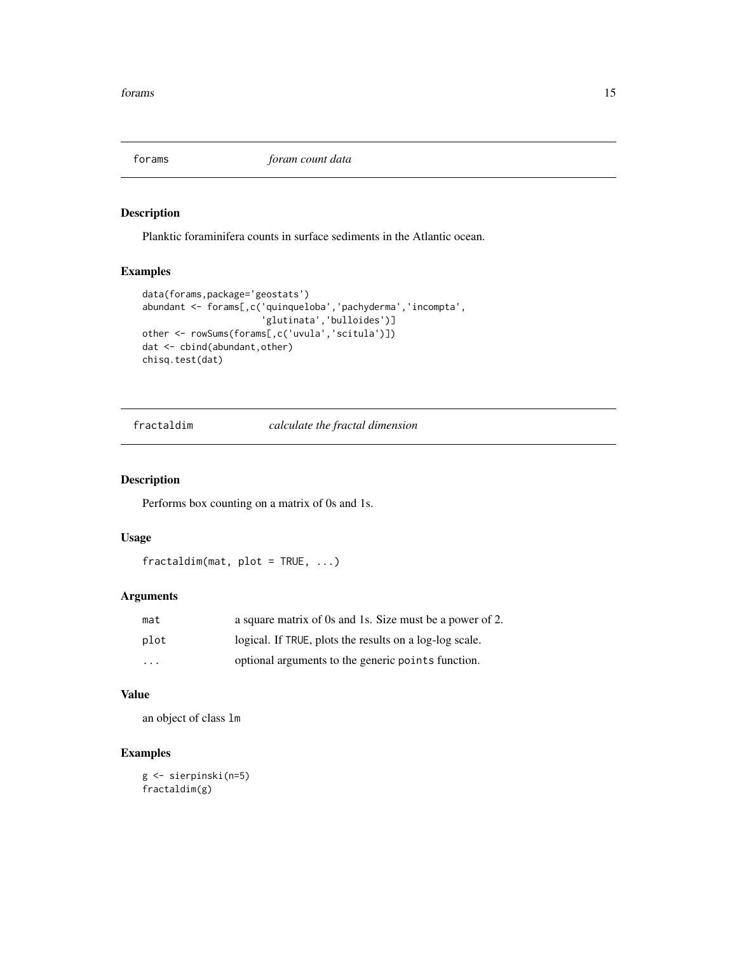<span id="page-14-0"></span>forams *foram count data*

## Description

Planktic foraminifera counts in surface sediments in the Atlantic ocean.

## Examples

```
data(forams,package='geostats')
abundant <- forams[,c('quinqueloba','pachyderma','incompta',
                      'glutinata','bulloides')]
other <- rowSums(forams[,c('uvula','scitula')])
dat <- cbind(abundant,other)
chisq.test(dat)
```
fractaldim *calculate the fractal dimension*

## Description

Performs box counting on a matrix of 0s and 1s.

## Usage

fractaldim(mat, plot = TRUE, ...)

## Arguments

| mat                     | a square matrix of 0s and 1s. Size must be a power of 2. |
|-------------------------|----------------------------------------------------------|
| plot                    | logical. If TRUE, plots the results on a log-log scale.  |
| $\cdot$ $\cdot$ $\cdot$ | optional arguments to the generic points function.       |

## Value

an object of class lm

```
g <- sierpinski(n=5)
fractaldim(g)
```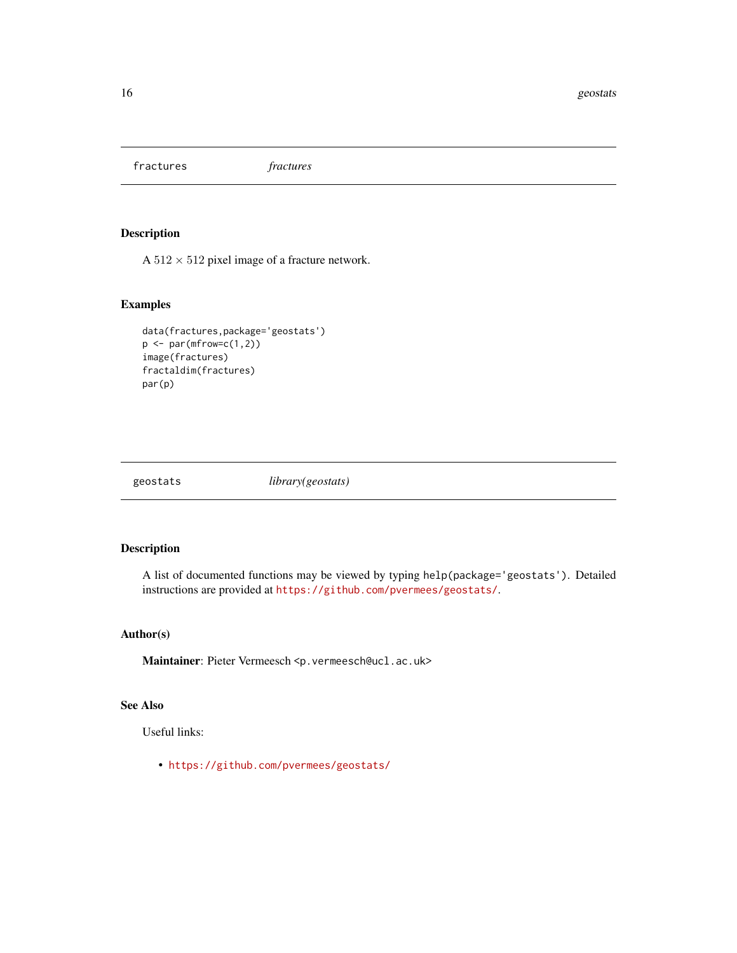<span id="page-15-0"></span>fractures *fractures*

## Description

A  $512\times512$  pixel image of a fracture network.

### Examples

```
data(fractures,package='geostats')
p \leftarrow par(mfrow=c(1,2))image(fractures)
fractaldim(fractures)
par(p)
```
geostats *library(geostats)*

## Description

A list of documented functions may be viewed by typing help(package='geostats'). Detailed instructions are provided at <https://github.com/pvermees/geostats/>.

## Author(s)

Maintainer: Pieter Vermeesch <p.vermeesch@ucl.ac.uk>

## See Also

Useful links:

• <https://github.com/pvermees/geostats/>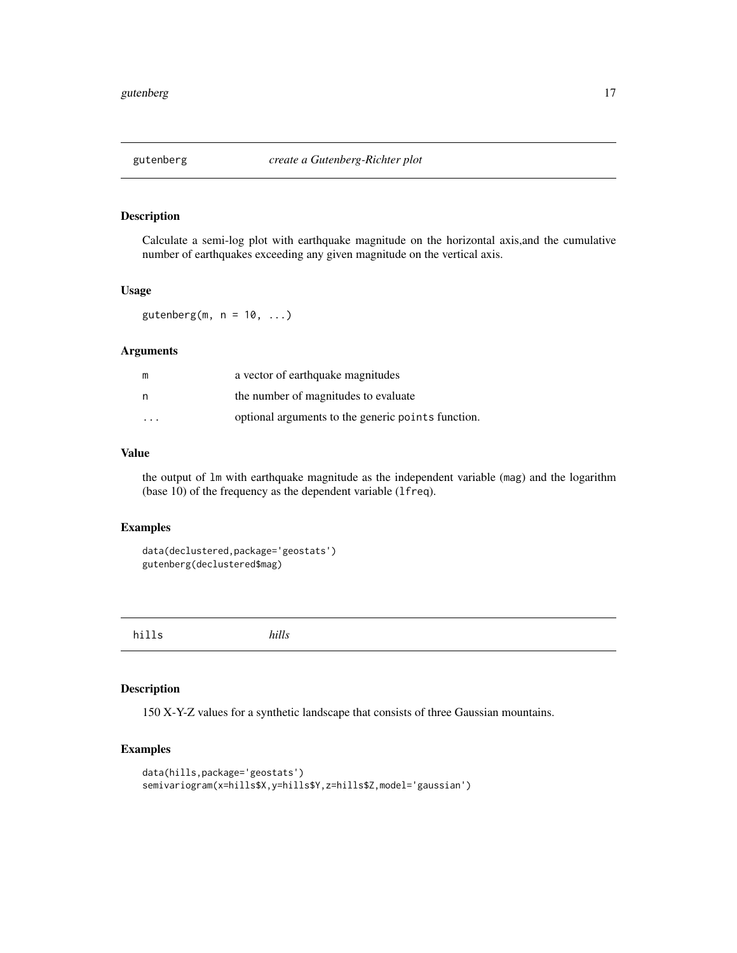<span id="page-16-0"></span>

Calculate a semi-log plot with earthquake magnitude on the horizontal axis,and the cumulative number of earthquakes exceeding any given magnitude on the vertical axis.

## Usage

gutenberg(m,  $n = 10, ...$ )

## Arguments

|                         | a vector of earthquake magnitudes                  |
|-------------------------|----------------------------------------------------|
| n                       | the number of magnitudes to evaluate               |
| $\cdot$ $\cdot$ $\cdot$ | optional arguments to the generic points function. |

#### Value

the output of lm with earthquake magnitude as the independent variable (mag) and the logarithm (base 10) of the frequency as the dependent variable (lfreq).

#### Examples

```
data(declustered,package='geostats')
gutenberg(declustered$mag)
```
hills *hills*

## Description

150 X-Y-Z values for a synthetic landscape that consists of three Gaussian mountains.

```
data(hills,package='geostats')
semivariogram(x=hills$X,y=hills$Y,z=hills$Z,model='gaussian')
```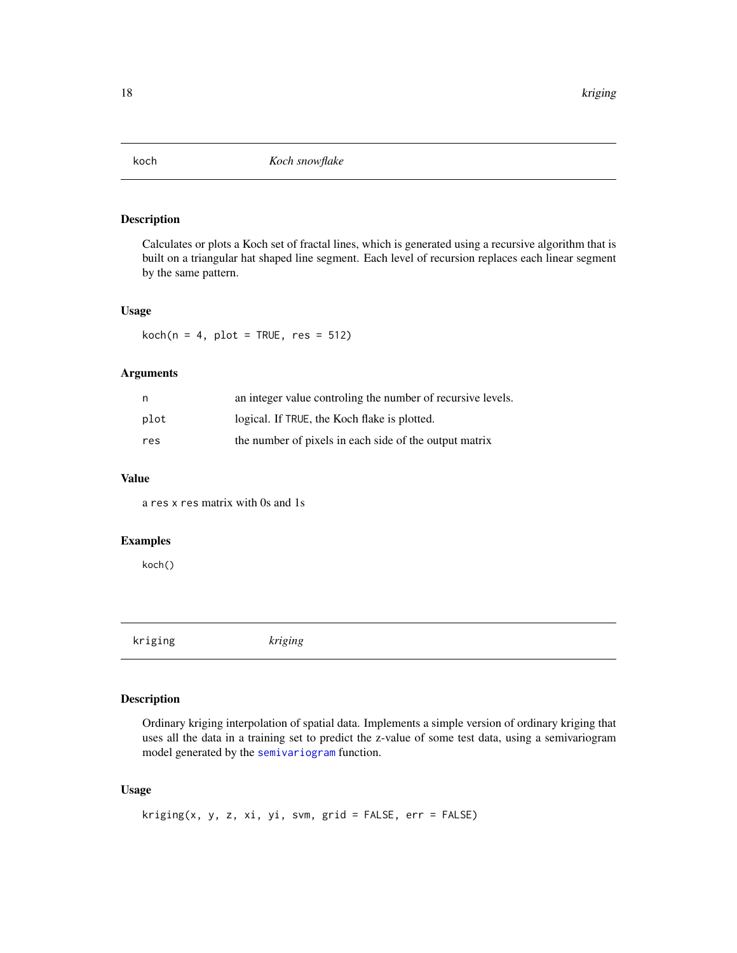<span id="page-17-0"></span>

Calculates or plots a Koch set of fractal lines, which is generated using a recursive algorithm that is built on a triangular hat shaped line segment. Each level of recursion replaces each linear segment by the same pattern.

## Usage

 $koch(n = 4, plot = TRUE, res = 512)$ 

## Arguments

| n    | an integer value controling the number of recursive levels. |
|------|-------------------------------------------------------------|
| plot | logical. If TRUE, the Koch flake is plotted.                |
| res  | the number of pixels in each side of the output matrix      |

## Value

a res x res matrix with 0s and 1s

## Examples

koch()

kriging *kriging*

## Description

Ordinary kriging interpolation of spatial data. Implements a simple version of ordinary kriging that uses all the data in a training set to predict the z-value of some test data, using a semivariogram model generated by the [semivariogram](#page-28-1) function.

## Usage

```
kriging(x, y, z, xi, yi, sym, grid = FALSE, err = FALSE)
```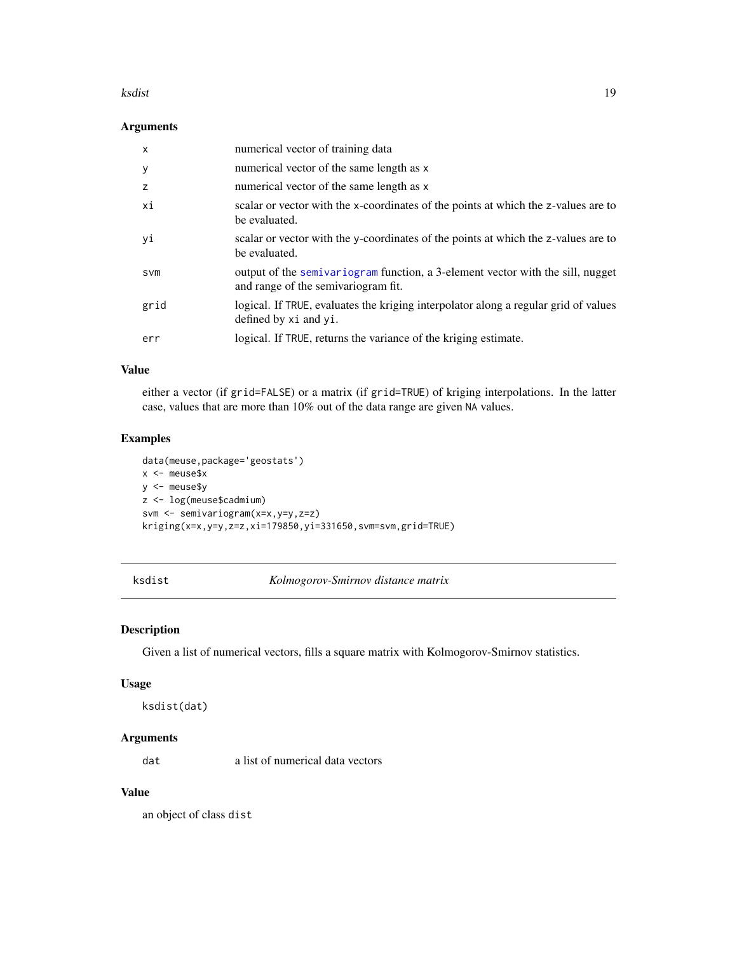#### <span id="page-18-0"></span>ksdist to the contract of the contract of the contract of the contract of the contract of the contract of the contract of the contract of the contract of the contract of the contract of the contract of the contract of the

## Arguments

| $\mathsf{x}$ | numerical vector of training data                                                                                     |
|--------------|-----------------------------------------------------------------------------------------------------------------------|
| y            | numerical vector of the same length as x                                                                              |
| z            | numerical vector of the same length as x                                                                              |
| хi           | scalar or vector with the x-coordinates of the points at which the z-values are to<br>be evaluated.                   |
| yi           | scalar or vector with the y-coordinates of the points at which the z-values are to<br>be evaluated.                   |
| <b>SVM</b>   | output of the semivariogram function, a 3-element vector with the sill, nugget<br>and range of the semivariogram fit. |
| grid         | logical. If TRUE, evaluates the kriging interpolator along a regular grid of values<br>defined by xi and yi.          |
| err          | logical. If TRUE, returns the variance of the kriging estimate.                                                       |

## Value

either a vector (if grid=FALSE) or a matrix (if grid=TRUE) of kriging interpolations. In the latter case, values that are more than 10% out of the data range are given NA values.

### Examples

```
data(meuse,package='geostats')
x <- meuse$x
y <- meuse$y
z <- log(meuse$cadmium)
svm <- semivariogram(x=x,y=y,z=z)
kriging(x=x,y=y,z=z,xi=179850,yi=331650,svm=svm,grid=TRUE)
```
ksdist *Kolmogorov-Smirnov distance matrix*

#### Description

Given a list of numerical vectors, fills a square matrix with Kolmogorov-Smirnov statistics.

#### Usage

```
ksdist(dat)
```
## Arguments

dat a list of numerical data vectors

## Value

an object of class dist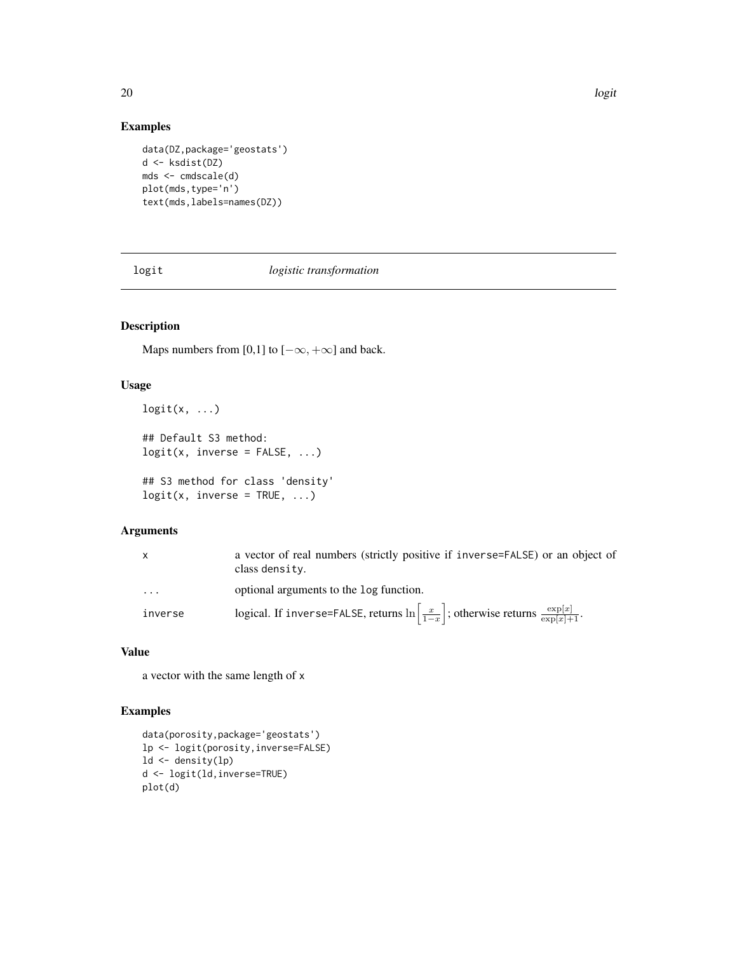## Examples

```
data(DZ,package='geostats')
d <- ksdist(DZ)
mds <- cmdscale(d)
plot(mds,type='n')
text(mds,labels=names(DZ))
```
logit *logistic transformation*

## Description

Maps numbers from [0,1] to  $[-\infty, +\infty]$  and back.

## Usage

```
logit(x, \ldots)
```
## Default S3 method:  $logit(x, inverse = FALSE, ...)$ 

```
## S3 method for class 'density'
logit(x, inverse = TRUE, ...)
```
## Arguments

| X       | a vector of real numbers (strictly positive if inverse=FALSE) or an object of<br>class density.                      |
|---------|----------------------------------------------------------------------------------------------------------------------|
| .       | optional arguments to the log function.                                                                              |
| inverse | logical. If inverse=FALSE, returns $\ln\left[\frac{x}{1-x}\right]$ ; otherwise returns $\frac{\exp[x]}{\exp[x]+1}$ . |

## Value

a vector with the same length of x

```
data(porosity,package='geostats')
lp <- logit(porosity,inverse=FALSE)
ld <- density(lp)
d <- logit(ld,inverse=TRUE)
plot(d)
```
<span id="page-19-0"></span>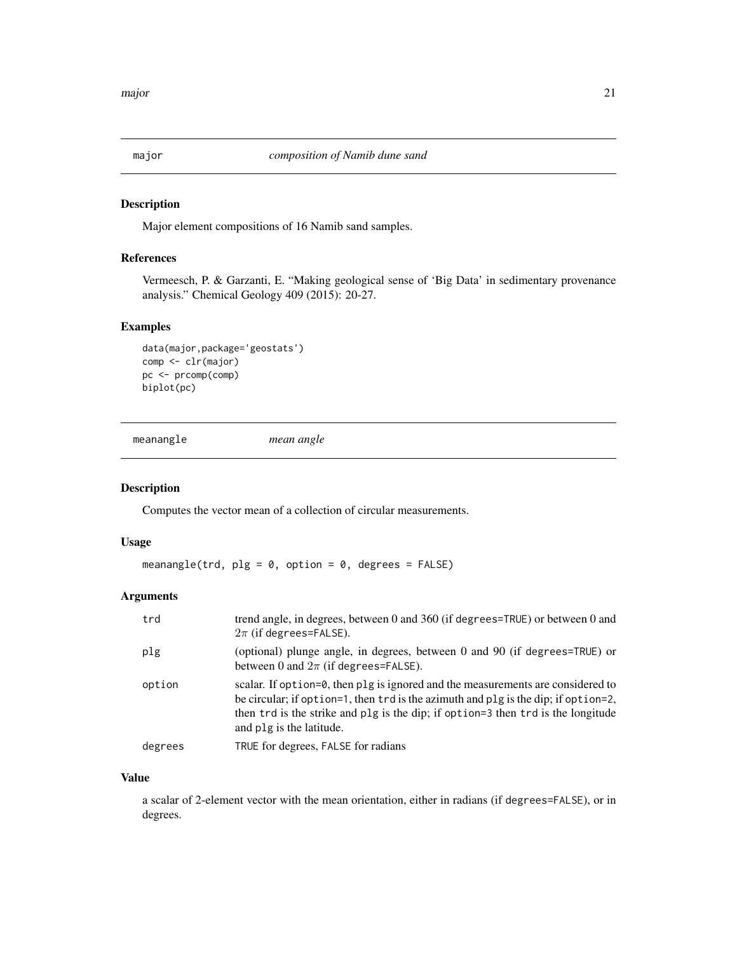<span id="page-20-0"></span>

Major element compositions of 16 Namib sand samples.

## References

Vermeesch, P. & Garzanti, E. "Making geological sense of 'Big Data' in sedimentary provenance analysis." Chemical Geology 409 (2015): 20-27.

#### Examples

```
data(major,package='geostats')
comp <- clr(major)
pc <- prcomp(comp)
biplot(pc)
```
meanangle *mean angle*

## Description

Computes the vector mean of a collection of circular measurements.

#### Usage

meanangle(trd,  $plg = 0$ , option = 0, degrees = FALSE)

## Arguments

| trd     | trend angle, in degrees, between 0 and 360 (if degrees=TRUE) or between 0 and<br>$2\pi$ (if degrees=FALSE).                                                                                                                                                                           |
|---------|---------------------------------------------------------------------------------------------------------------------------------------------------------------------------------------------------------------------------------------------------------------------------------------|
| plg     | (optional) plunge angle, in degrees, between 0 and 90 (if degrees=TRUE) or<br>between 0 and $2\pi$ (if degrees=FALSE).                                                                                                                                                                |
| option  | scalar. If option=0, then plg is ignored and the measurements are considered to<br>be circular; if option=1, then trd is the azimuth and plg is the dip; if option=2,<br>then trd is the strike and plg is the dip; if option=3 then trd is the longitude<br>and plg is the latitude. |
| degrees | TRUE for degrees, FALSE for radians                                                                                                                                                                                                                                                   |

#### Value

a scalar of 2-element vector with the mean orientation, either in radians (if degrees=FALSE), or in degrees.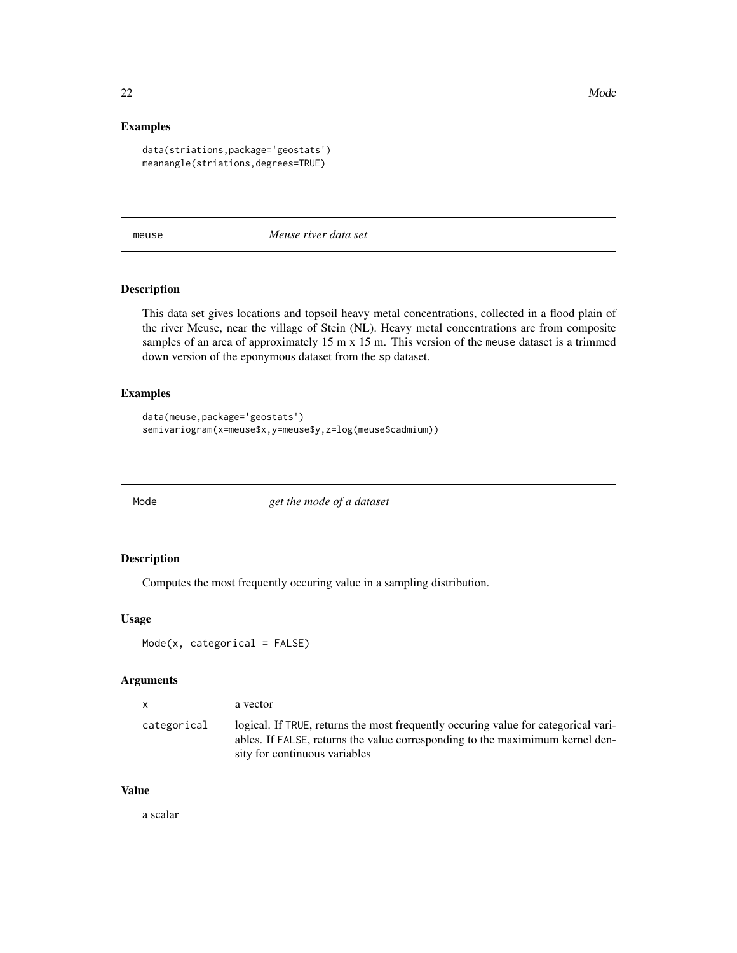<span id="page-21-0"></span>22 Mode New York 2014 12:30 Mode New York 2014 12:30 Mode New York 2014 12:30 Mode New York 2014 12:30 Mode New York 2014

## Examples

```
data(striations,package='geostats')
meanangle(striations,degrees=TRUE)
```
meuse *Meuse river data set*

#### Description

This data set gives locations and topsoil heavy metal concentrations, collected in a flood plain of the river Meuse, near the village of Stein (NL). Heavy metal concentrations are from composite samples of an area of approximately 15 m x 15 m. This version of the meuse dataset is a trimmed down version of the eponymous dataset from the sp dataset.

## Examples

```
data(meuse,package='geostats')
semivariogram(x=meuse$x,y=meuse$y,z=log(meuse$cadmium))
```
Mode *get the mode of a dataset*

#### Description

Computes the most frequently occuring value in a sampling distribution.

#### Usage

```
Mode(x, categorical = FALSE)
```
#### Arguments

| $\mathsf{X}$ | a vector                                                                                                                                                                                              |
|--------------|-------------------------------------------------------------------------------------------------------------------------------------------------------------------------------------------------------|
| categorical  | logical. If TRUE, returns the most frequently occurring value for categorical vari-<br>ables. If FALSE, returns the value corresponding to the maximimum kernel den-<br>sity for continuous variables |

#### Value

a scalar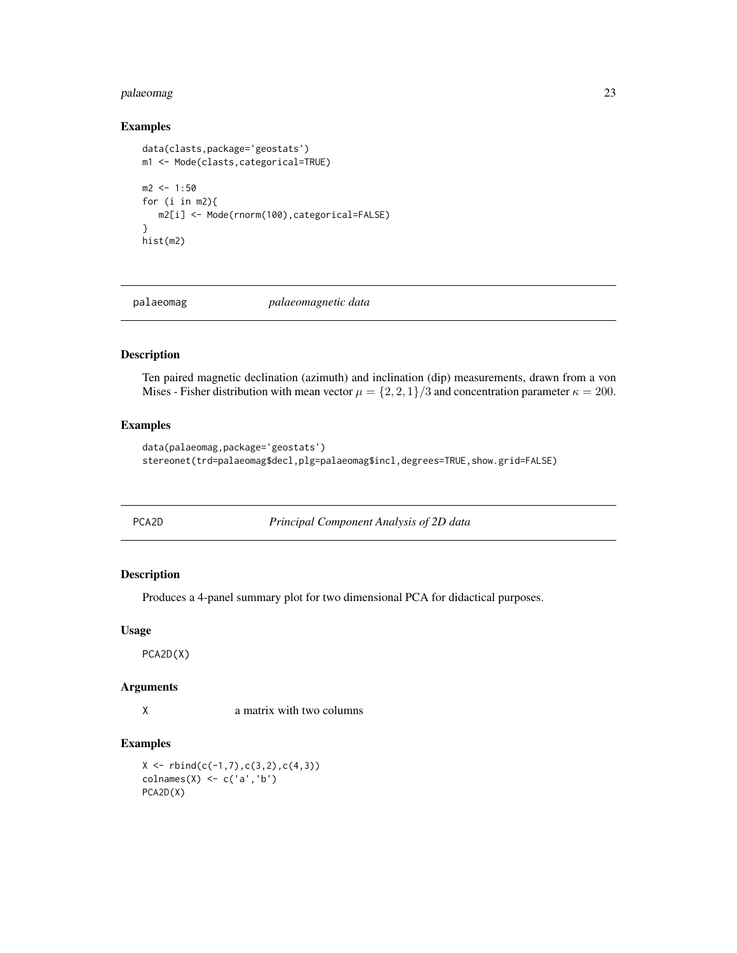## <span id="page-22-0"></span>palaeomag 23

#### Examples

```
data(clasts,package='geostats')
m1 <- Mode(clasts,categorical=TRUE)
m2 < -1:50for (i in m2){
  m2[i] <- Mode(rnorm(100),categorical=FALSE)
}
hist(m2)
```
palaeomag *palaeomagnetic data*

#### Description

Ten paired magnetic declination (azimuth) and inclination (dip) measurements, drawn from a von Mises - Fisher distribution with mean vector  $\mu = \{2, 2, 1\}/3$  and concentration parameter  $\kappa = 200$ .

## Examples

```
data(palaeomag,package='geostats')
stereonet(trd=palaeomag$decl,plg=palaeomag$incl,degrees=TRUE,show.grid=FALSE)
```

|--|--|

**Principal Component Analysis of 2D data** 

## Description

Produces a 4-panel summary plot for two dimensional PCA for didactical purposes.

#### Usage

PCA2D(X)

#### Arguments

X a matrix with two columns

## Examples

 $X \leftarrow \text{rbind}(c(-1,7),c(3,2),c(4,3))$ colnames(X) <- c('a','b') PCA2D(X)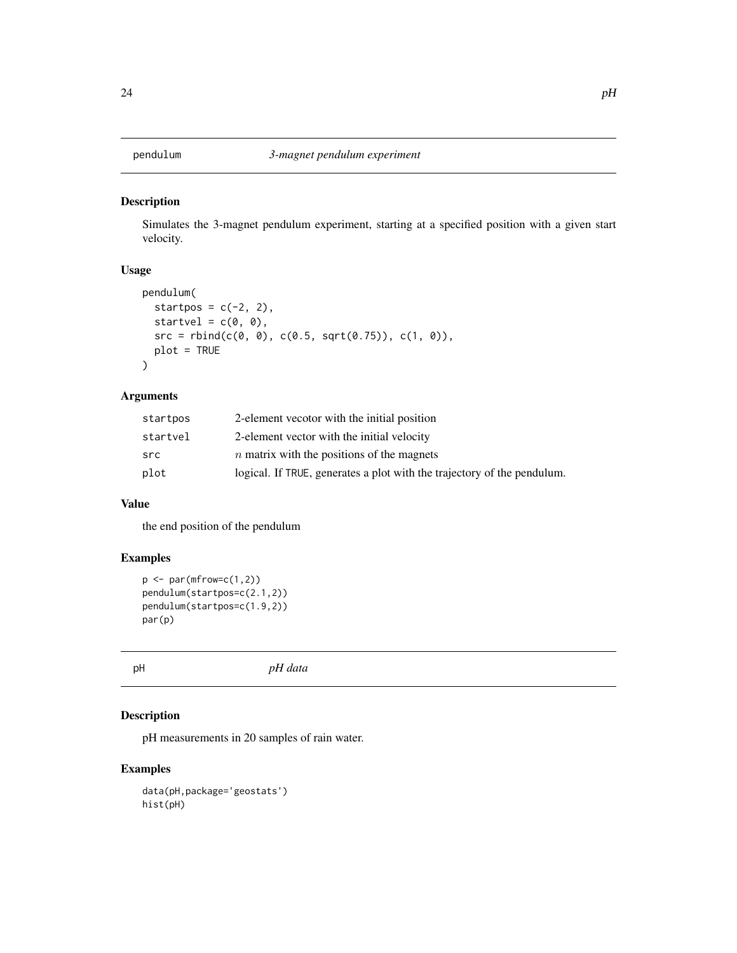<span id="page-23-0"></span>

Simulates the 3-magnet pendulum experiment, starting at a specified position with a given start velocity.

## Usage

```
pendulum(
  startpos = c(-2, 2),
  startvel = c(\emptyset, \emptyset),
  src = rbind(c(0, 0), c(0.5, sqrt(0.75)), c(1, 0)),plot = TRUE
\mathcal{L}
```
## Arguments

| startpos | 2-element vecotor with the initial position                             |
|----------|-------------------------------------------------------------------------|
| startvel | 2-element vector with the initial velocity                              |
| src      | $n$ matrix with the positions of the magnets                            |
| plot     | logical. If TRUE, generates a plot with the trajectory of the pendulum. |

## Value

the end position of the pendulum

### Examples

```
p \leftarrow par(mfrow=c(1,2))pendulum(startpos=c(2.1,2))
pendulum(startpos=c(1.9,2))
par(p)
```
pH *pH data*

## Description

pH measurements in 20 samples of rain water.

```
data(pH,package='geostats')
hist(pH)
```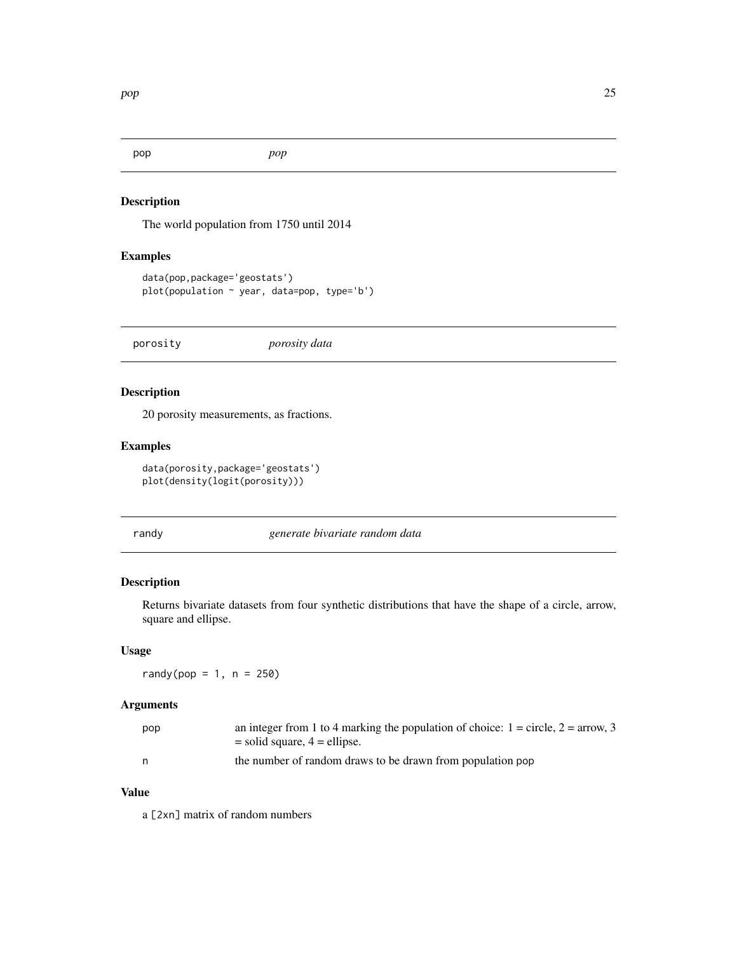<span id="page-24-0"></span>

The world population from 1750 until 2014

#### Examples

```
data(pop,package='geostats')
plot(population ~ year, data=pop, type='b')
```
porosity *porosity data*

## Description

20 porosity measurements, as fractions.

### Examples

```
data(porosity,package='geostats')
plot(density(logit(porosity)))
```
randy *generate bivariate random data*

## Description

Returns bivariate datasets from four synthetic distributions that have the shape of a circle, arrow, square and ellipse.

#### Usage

 $r$ andy(pop = 1, n = 250)

## Arguments

| pop | an integer from 1 to 4 marking the population of choice: $1 =$ circle, $2 =$ arrow, 3 |
|-----|---------------------------------------------------------------------------------------|
|     | $=$ solid square, $4 =$ ellipse.                                                      |
| n   | the number of random draws to be drawn from population pop                            |

## Value

a [2xn] matrix of random numbers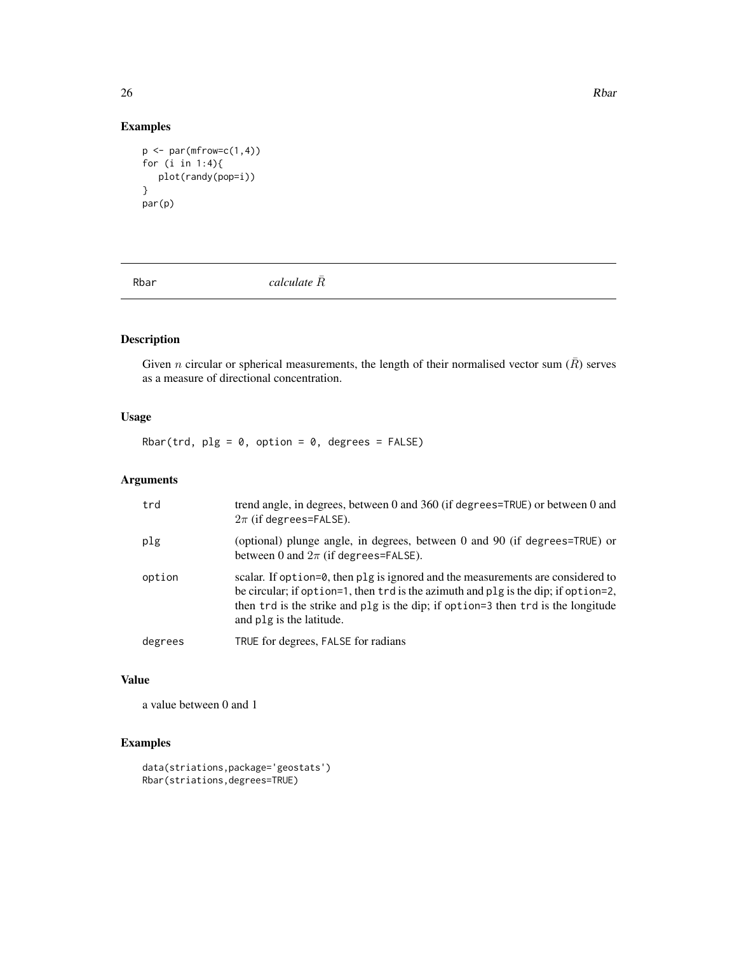$26$  Rbar

## Examples

```
p \leftarrow par(mfrow=c(1,4))for (i in 1:4){
   plot(randy(pop=i))
}
par(p)
```
Rbar  $cal\overline{R}$ <sup>2</sup>

## Description

Given *n* circular or spherical measurements, the length of their normalised vector sum  $(\bar{R})$  serves as a measure of directional concentration.

## Usage

Rbar(trd,  $plg = 0$ , option = 0, degrees = FALSE)

## Arguments

| trd     | trend angle, in degrees, between 0 and 360 (if degrees=TRUE) or between 0 and<br>$2\pi$ (if degrees=FALSE).                                                                                                                                                                           |
|---------|---------------------------------------------------------------------------------------------------------------------------------------------------------------------------------------------------------------------------------------------------------------------------------------|
| plg     | (optional) plunge angle, in degrees, between 0 and 90 (if degrees=TRUE) or<br>between 0 and $2\pi$ (if degrees=FALSE).                                                                                                                                                                |
| option  | scalar. If option=0, then plg is ignored and the measurements are considered to<br>be circular; if option=1, then trd is the azimuth and plg is the dip; if option=2,<br>then trd is the strike and plg is the dip; if option=3 then trd is the longitude<br>and plg is the latitude. |
| degrees | TRUE for degrees, FALSE for radians                                                                                                                                                                                                                                                   |

## Value

a value between 0 and 1

```
data(striations,package='geostats')
Rbar(striations,degrees=TRUE)
```
<span id="page-25-0"></span>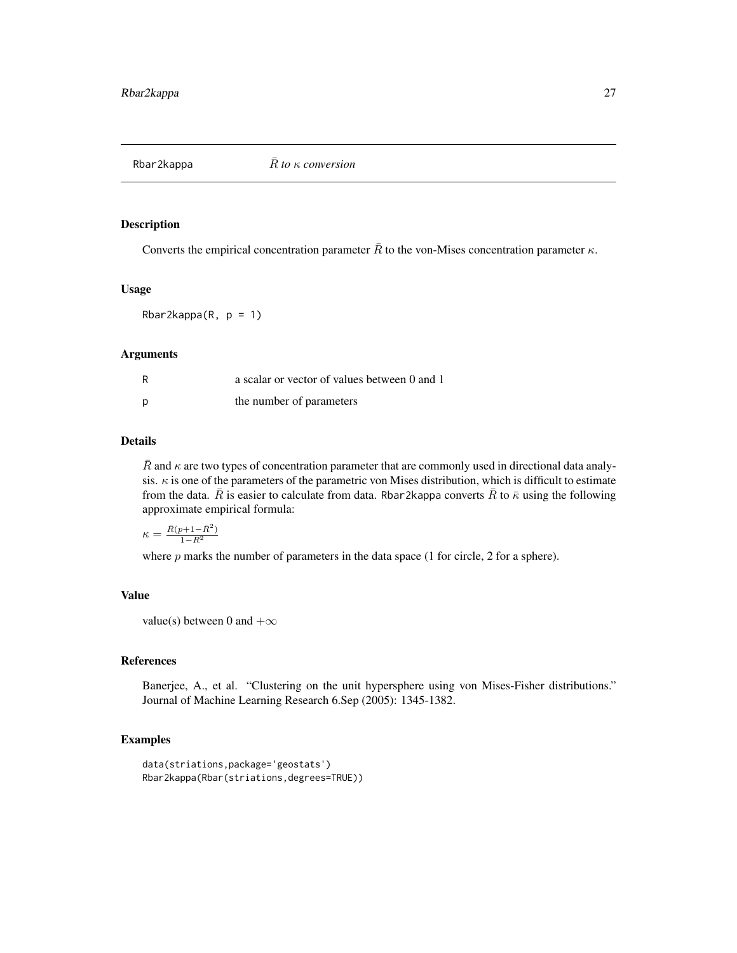<span id="page-26-0"></span>

Converts the empirical concentration parameter  $\overline{R}$  to the von-Mises concentration parameter  $\kappa$ .

#### Usage

Rbar2kappa $(R, p = 1)$ 

#### Arguments

| R | a scalar or vector of values between 0 and 1 |
|---|----------------------------------------------|
| D | the number of parameters                     |

## Details

R and  $\kappa$  are two types of concentration parameter that are commonly used in directional data analysis.  $\kappa$  is one of the parameters of the parametric von Mises distribution, which is difficult to estimate from the data.  $\bar{R}$  is easier to calculate from data. Rbar2kappa converts  $\bar{R}$  to  $\bar{\kappa}$  using the following approximate empirical formula:

$$
\kappa = \frac{\bar{R}(p+1-\bar{R}^2)}{1-\bar{R}^2}
$$

where  $p$  marks the number of parameters in the data space  $(1$  for circle,  $2$  for a sphere).

#### Value

value(s) between 0 and  $+\infty$ 

#### References

Banerjee, A., et al. "Clustering on the unit hypersphere using von Mises-Fisher distributions." Journal of Machine Learning Research 6.Sep (2005): 1345-1382.

```
data(striations,package='geostats')
Rbar2kappa(Rbar(striations,degrees=TRUE))
```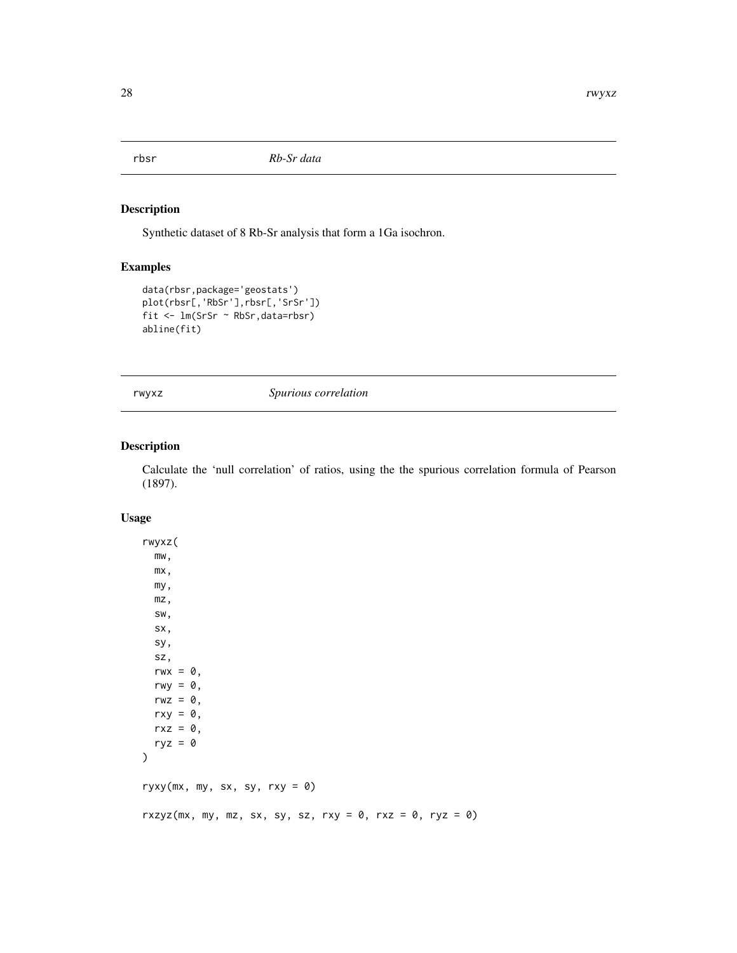<span id="page-27-0"></span>

Synthetic dataset of 8 Rb-Sr analysis that form a 1Ga isochron.

## Examples

```
data(rbsr,package='geostats')
plot(rbsr[,'RbSr'],rbsr[,'SrSr'])
fit <- lm(SrSr ~ RbSr,data=rbsr)
abline(fit)
```
rwyxz *Spurious correlation*

## Description

Calculate the 'null correlation' of ratios, using the the spurious correlation formula of Pearson (1897).

#### Usage

```
rwyxz(
 mw,
 mx,
 my,
 mz,
 sw,
  sx,
 sy,
 sz,
 rwx = 0,
  rwy = 0,
  rwz = \emptyset,
 rxy = 0,
 rxz = 0,
 ryz = 0)
ryxy(mx, my, sx, sy, rxy = 0)rxzyz(mx, my, mz, sx, sy, sz, rxy = 0, rxz = 0, ryz = 0)
```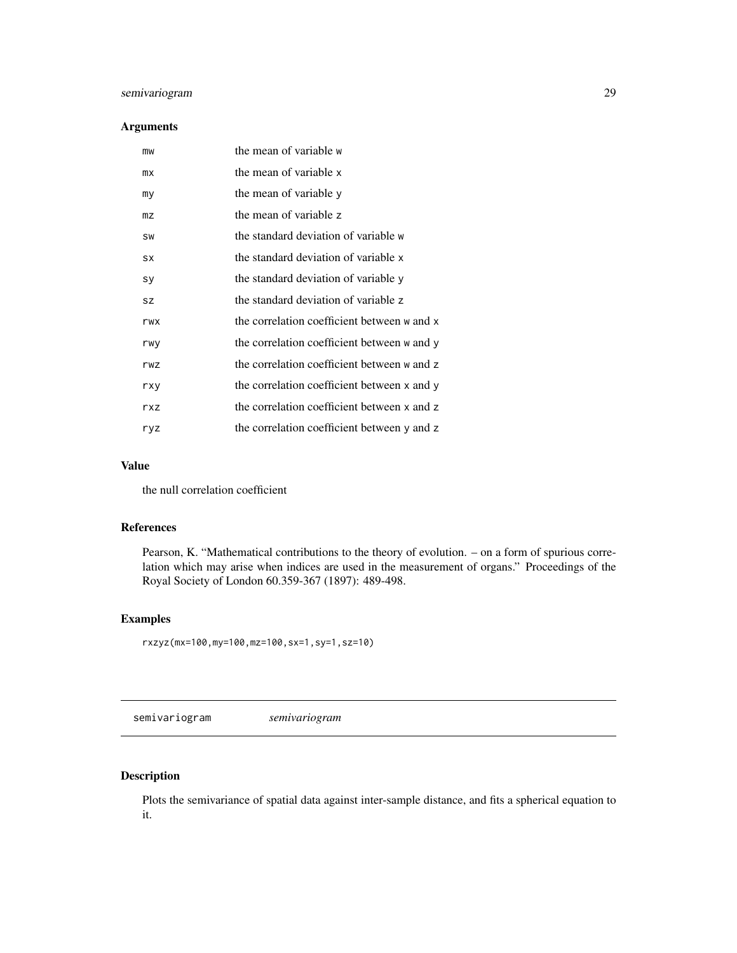## <span id="page-28-0"></span>semivariogram 29

## Arguments

| mw             | the mean of variable w                      |
|----------------|---------------------------------------------|
| mx             | the mean of variable x                      |
| my             | the mean of variable y                      |
| m <sub>Z</sub> | the mean of variable z                      |
| SW             | the standard deviation of variable w        |
| SX             | the standard deviation of variable x        |
| sy             | the standard deviation of variable y        |
| <b>SZ</b>      | the standard deviation of variable z        |
| rwx            | the correlation coefficient between w and x |
| rwy            | the correlation coefficient between w and y |
| rwz            | the correlation coefficient between w and z |
| rxy            | the correlation coefficient between x and y |
| rxz            | the correlation coefficient between x and z |
| ryz            | the correlation coefficient between y and z |

## Value

the null correlation coefficient

#### References

Pearson, K. "Mathematical contributions to the theory of evolution. – on a form of spurious correlation which may arise when indices are used in the measurement of organs." Proceedings of the Royal Society of London 60.359-367 (1897): 489-498.

## Examples

rxzyz(mx=100,my=100,mz=100,sx=1,sy=1,sz=10)

<span id="page-28-1"></span>semivariogram *semivariogram*

## Description

Plots the semivariance of spatial data against inter-sample distance, and fits a spherical equation to it.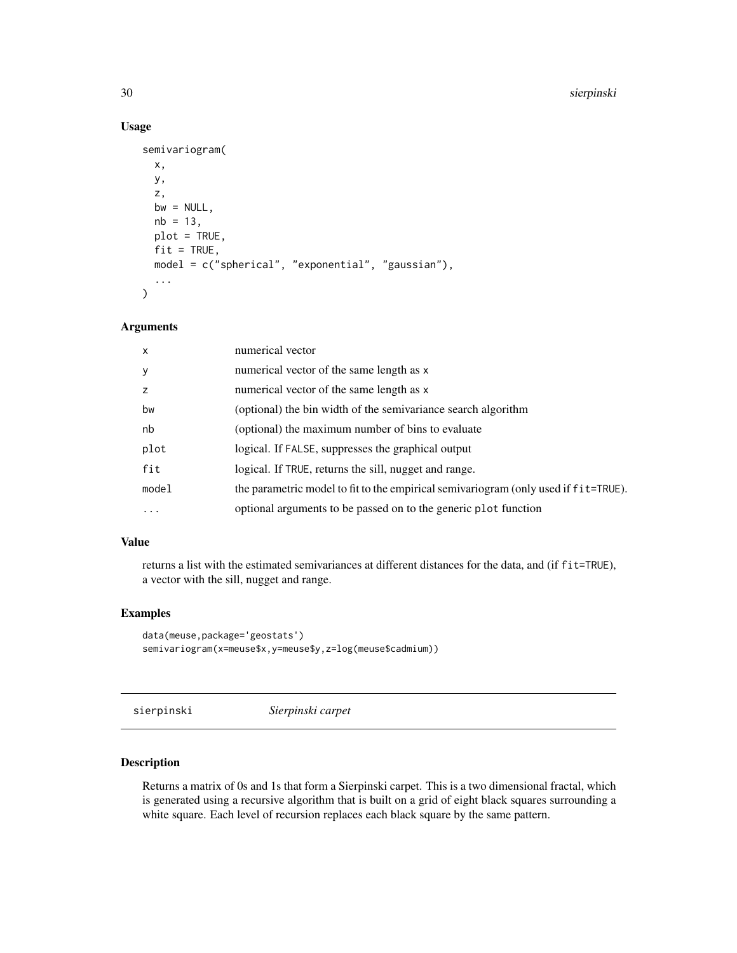#### 30 sierpinski

## Usage

```
semivariogram(
  x,
 y,
 z,
 bw = NULL,nb = 13,plot = TRUE,
 fit = TRUE,model = c("spherical", "exponential", "gaussian"),
  ...
\mathcal{L}
```
## Arguments

| $\mathsf{x}$ | numerical vector                                                                      |
|--------------|---------------------------------------------------------------------------------------|
| y            | numerical vector of the same length as x                                              |
| z            | numerical vector of the same length as x                                              |
| bw           | (optional) the bin width of the semivariance search algorithm                         |
| nb           | (optional) the maximum number of bins to evaluate                                     |
| plot         | logical. If FALSE, suppresses the graphical output                                    |
| fit          | logical. If TRUE, returns the sill, nugget and range.                                 |
| model        | the parametric model to fit to the empirical semivariogram (only used if f i t=TRUE). |
| $\cdots$     | optional arguments to be passed on to the generic plot function                       |

## Value

returns a list with the estimated semivariances at different distances for the data, and (if fit=TRUE), a vector with the sill, nugget and range.

#### Examples

```
data(meuse,package='geostats')
semivariogram(x=meuse$x,y=meuse$y,z=log(meuse$cadmium))
```
sierpinski *Sierpinski carpet*

#### Description

Returns a matrix of 0s and 1s that form a Sierpinski carpet. This is a two dimensional fractal, which is generated using a recursive algorithm that is built on a grid of eight black squares surrounding a white square. Each level of recursion replaces each black square by the same pattern.

<span id="page-29-0"></span>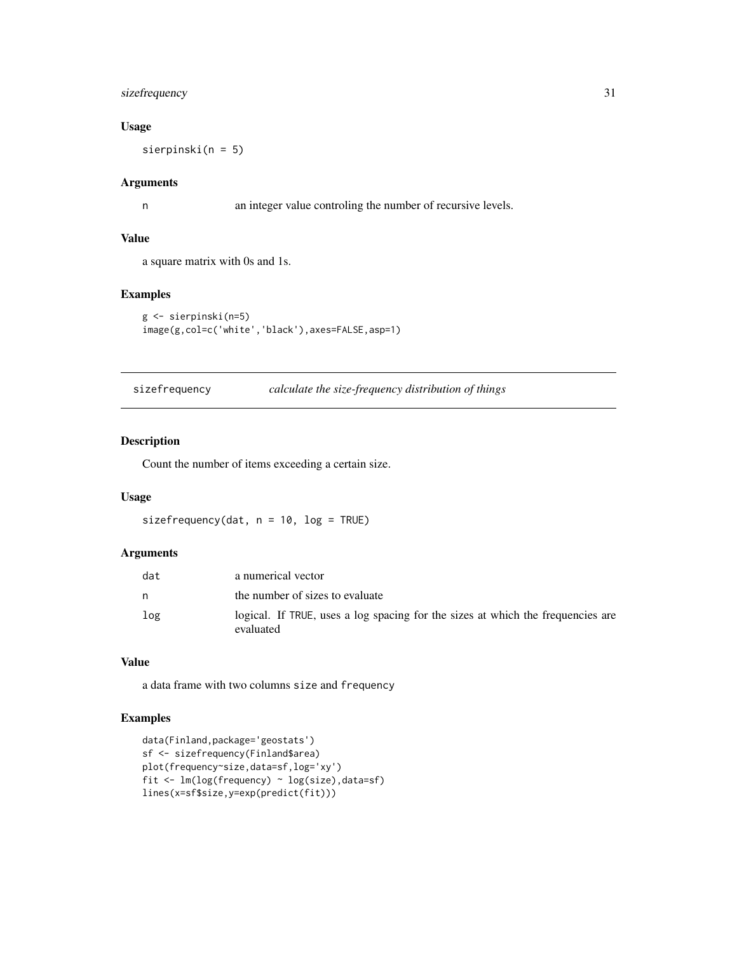## <span id="page-30-0"></span>sizefrequency 31

## Usage

sierpinski(n = 5)

## Arguments

n an integer value controling the number of recursive levels.

### Value

a square matrix with 0s and 1s.

## Examples

```
g <- sierpinski(n=5)
image(g,col=c('white','black'),axes=FALSE,asp=1)
```
sizefrequency *calculate the size-frequency distribution of things*

## Description

Count the number of items exceeding a certain size.

## Usage

sizefrequency(dat,  $n = 10$ ,  $log = TRUE$ )

## Arguments

| dat | a numerical vector                                                                           |
|-----|----------------------------------------------------------------------------------------------|
| n   | the number of sizes to evaluate                                                              |
| log | logical. If TRUE, uses a log spacing for the sizes at which the frequencies are<br>evaluated |

## Value

a data frame with two columns size and frequency

```
data(Finland,package='geostats')
sf <- sizefrequency(Finland$area)
plot(frequency~size,data=sf,log='xy')
fit <- lm(log(frequency) ~ log(size),data=sf)
lines(x=sf$size,y=exp(predict(fit)))
```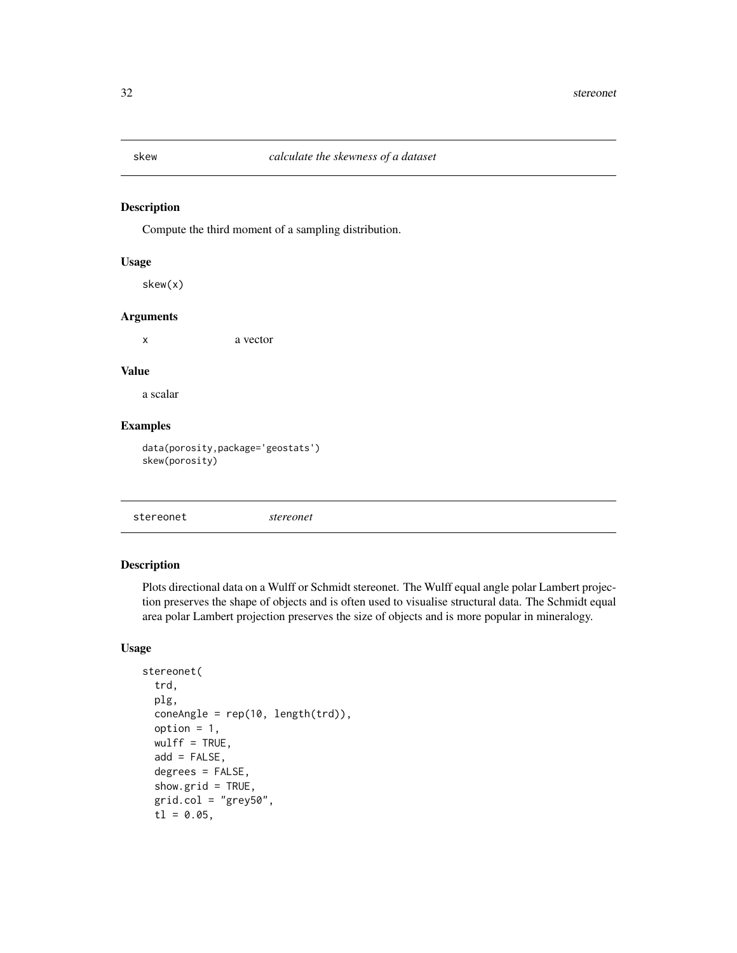<span id="page-31-0"></span>Compute the third moment of a sampling distribution.

#### Usage

skew(x)

#### Arguments

x a vector

## Value

a scalar

## Examples

data(porosity,package='geostats') skew(porosity)

stereonet *stereonet*

## Description

Plots directional data on a Wulff or Schmidt stereonet. The Wulff equal angle polar Lambert projection preserves the shape of objects and is often used to visualise structural data. The Schmidt equal area polar Lambert projection preserves the size of objects and is more popular in mineralogy.

## Usage

```
stereonet(
  trd,
 plg,
  coneAngle = rep(10, length(trd)),
 option = 1,wulff = TRUE,add = FALSE,degrees = FALSE,
  show.grid = TRUE,
  grid,col = "grey50",t1 = 0.05,
```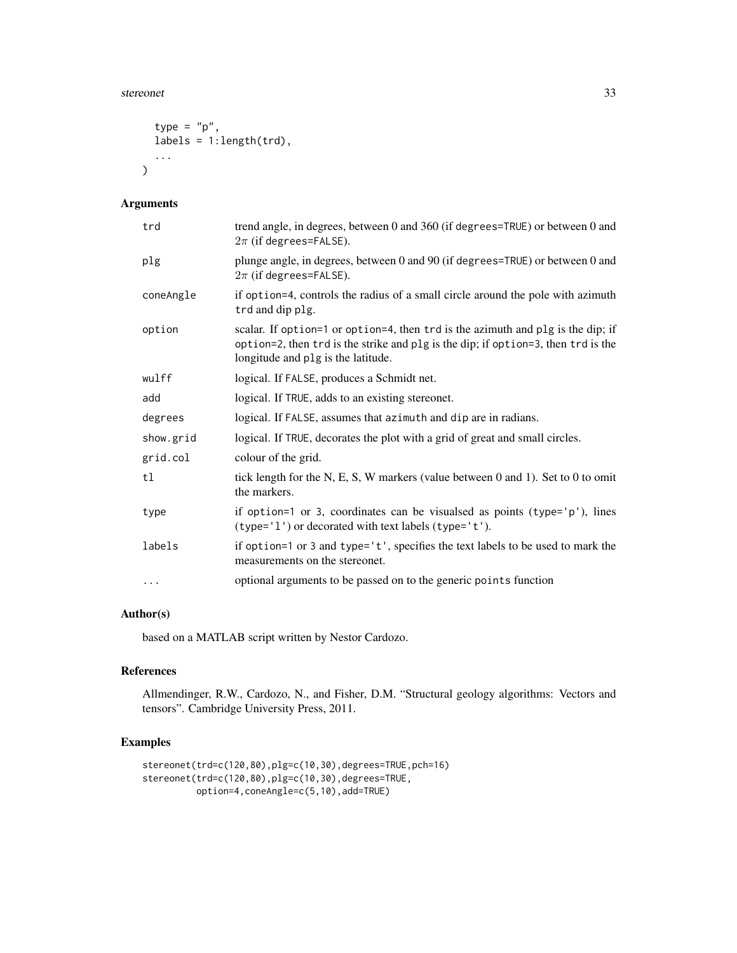#### stereonet 33

```
type = "p",labels = 1:length(trd),...
\mathcal{L}
```
## Arguments

| trd       | trend angle, in degrees, between 0 and 360 (if degrees=TRUE) or between 0 and<br>$2\pi$ (if degrees=FALSE).                                                                                                |
|-----------|------------------------------------------------------------------------------------------------------------------------------------------------------------------------------------------------------------|
| plg       | plunge angle, in degrees, between 0 and 90 (if degrees=TRUE) or between 0 and<br>$2\pi$ (if degrees=FALSE).                                                                                                |
| coneAngle | if option=4, controls the radius of a small circle around the pole with azimuth<br>trd and dip plg.                                                                                                        |
| option    | scalar. If option=1 or option=4, then trd is the azimuth and plg is the dip; if<br>option=2, then trd is the strike and plg is the dip; if option=3, then trd is the<br>longitude and plg is the latitude. |
| wulff     | logical. If FALSE, produces a Schmidt net.                                                                                                                                                                 |
| add       | logical. If TRUE, adds to an existing stereonet.                                                                                                                                                           |
| degrees   | logical. If FALSE, assumes that azimuth and dip are in radians.                                                                                                                                            |
| show.grid | logical. If TRUE, decorates the plot with a grid of great and small circles.                                                                                                                               |
| grid.col  | colour of the grid.                                                                                                                                                                                        |
| tl        | tick length for the N, E, S, W markers (value between 0 and 1). Set to 0 to omit<br>the markers.                                                                                                           |
| type      | if option=1 or 3, coordinates can be visualsed as points (type= $'p'$ ), lines<br>(type='1') or decorated with text labels (type='t').                                                                     |
| labels    | if option=1 or 3 and type='t', specifies the text labels to be used to mark the<br>measurements on the stereonet.                                                                                          |
| $\cdots$  | optional arguments to be passed on to the generic points function                                                                                                                                          |

## Author(s)

based on a MATLAB script written by Nestor Cardozo.

#### References

Allmendinger, R.W., Cardozo, N., and Fisher, D.M. "Structural geology algorithms: Vectors and tensors". Cambridge University Press, 2011.

```
stereonet(trd=c(120,80),plg=c(10,30),degrees=TRUE,pch=16)
stereonet(trd=c(120,80),plg=c(10,30),degrees=TRUE,
         option=4,coneAngle=c(5,10),add=TRUE)
```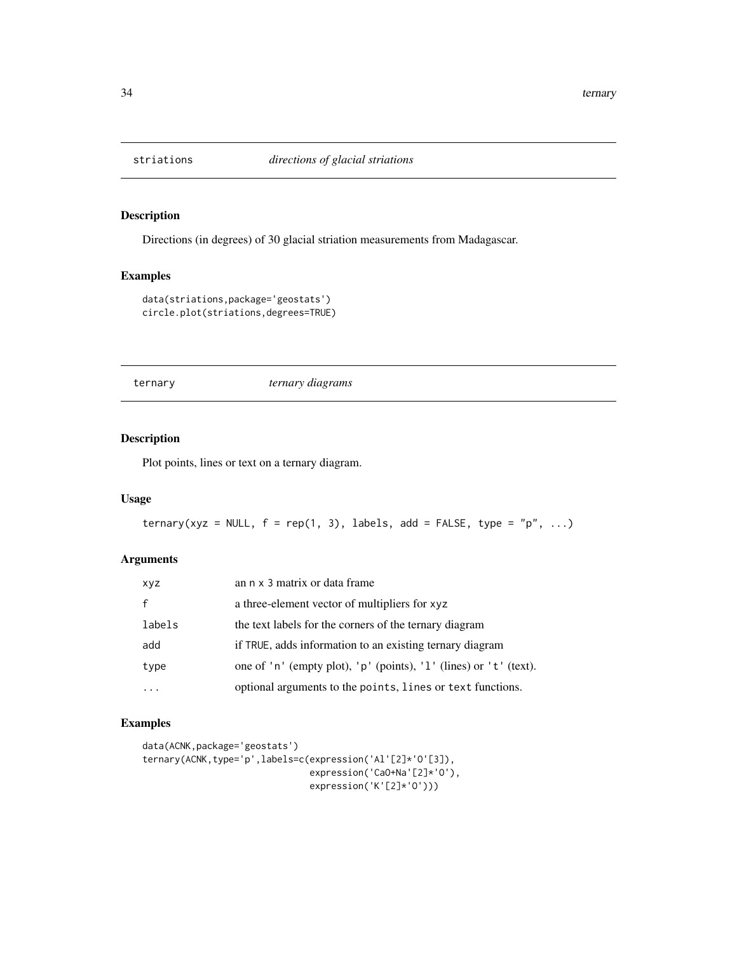<span id="page-33-0"></span>

Directions (in degrees) of 30 glacial striation measurements from Madagascar.

## Examples

```
data(striations,package='geostats')
circle.plot(striations,degrees=TRUE)
```
ternary *ternary diagrams*

## Description

Plot points, lines or text on a ternary diagram.

### Usage

```
ternary(xyz = NULL, f = rep(1, 3), labels, add = FALSE, type = "p", ...)
```
## Arguments

| xyz    | an n x 3 matrix or data frame                                     |
|--------|-------------------------------------------------------------------|
|        | a three-element vector of multipliers for xyz                     |
| labels | the text labels for the corners of the ternary diagram            |
| add    | if TRUE, adds information to an existing ternary diagram          |
| type   | one of 'n' (empty plot), 'p' (points), '1' (lines) or 't' (text). |
|        | optional arguments to the points, lines or text functions.        |

```
data(ACNK,package='geostats')
ternary(ACNK,type='p',labels=c(expression('Al'[2]*'O'[3]),
                              expression('CaO+Na'[2]*'O'),
                               expression('K'[2]*'O')))
```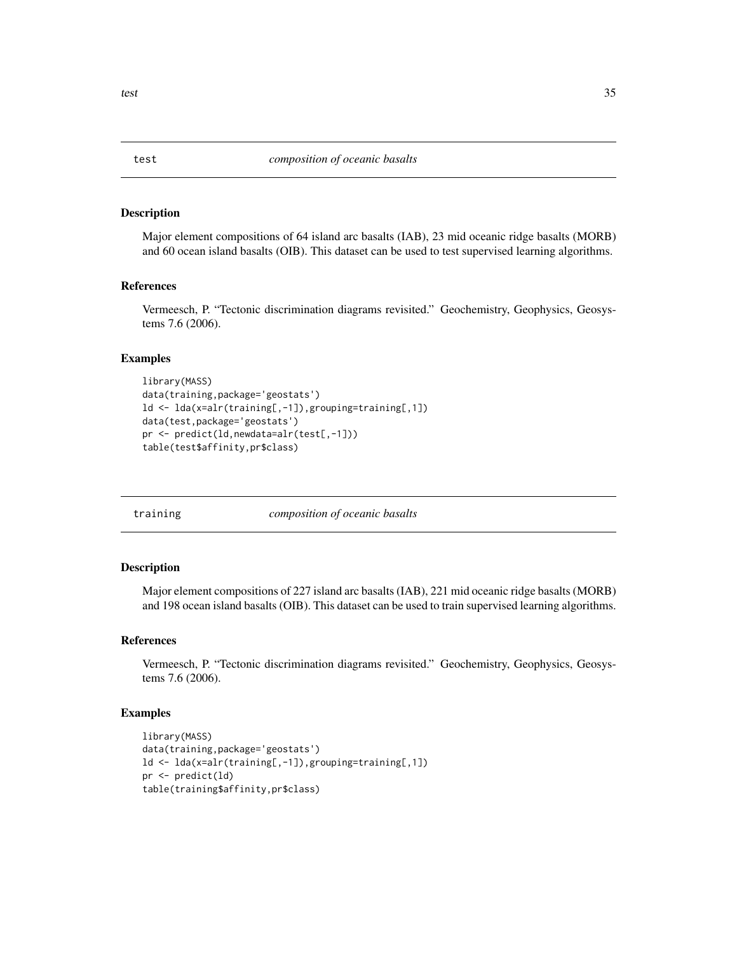Major element compositions of 64 island arc basalts (IAB), 23 mid oceanic ridge basalts (MORB) and 60 ocean island basalts (OIB). This dataset can be used to test supervised learning algorithms.

#### References

Vermeesch, P. "Tectonic discrimination diagrams revisited." Geochemistry, Geophysics, Geosystems 7.6 (2006).

#### Examples

```
library(MASS)
data(training,package='geostats')
ld <- lda(x=alr(training[,-1]),grouping=training[,1])
data(test,package='geostats')
pr <- predict(ld,newdata=alr(test[,-1]))
table(test$affinity,pr$class)
```
training *composition of oceanic basalts*

#### Description

Major element compositions of 227 island arc basalts (IAB), 221 mid oceanic ridge basalts (MORB) and 198 ocean island basalts (OIB). This dataset can be used to train supervised learning algorithms.

#### References

Vermeesch, P. "Tectonic discrimination diagrams revisited." Geochemistry, Geophysics, Geosystems 7.6 (2006).

## Examples

```
library(MASS)
data(training,package='geostats')
ld <- lda(x=alr(training[,-1]),grouping=training[,1])
pr <- predict(ld)
table(training$affinity,pr$class)
```
<span id="page-34-0"></span>test 35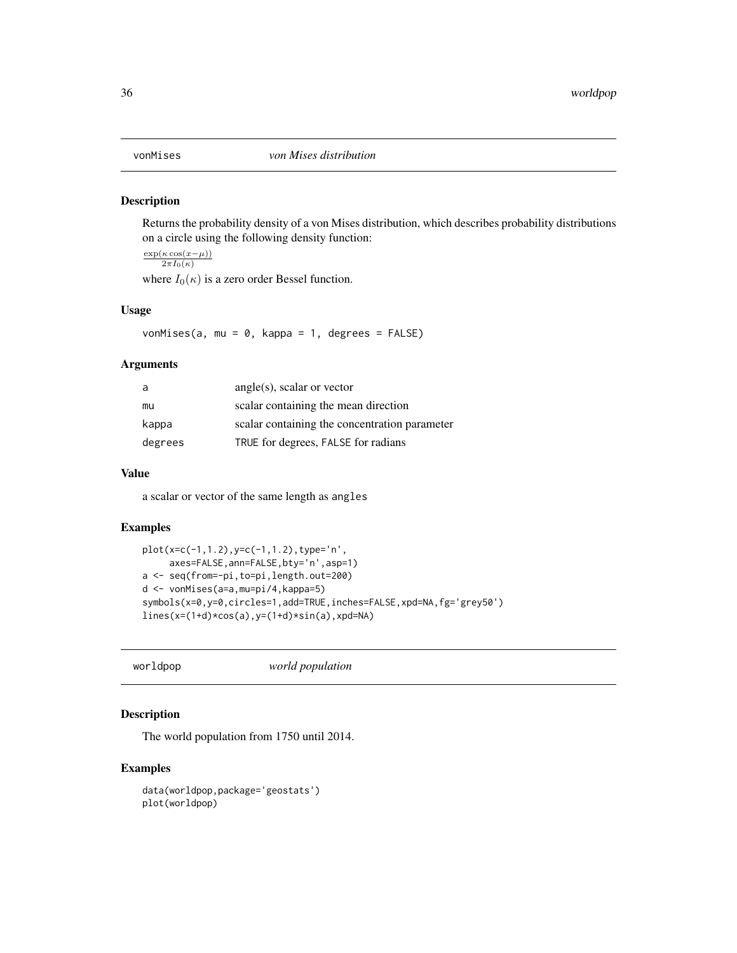<span id="page-35-0"></span>

Returns the probability density of a von Mises distribution, which describes probability distributions on a circle using the following density function:

 $\exp(\kappa \cos(x-\mu))$  $\overline{2\pi I_0(\kappa)}$ 

where  $I_0(\kappa)$  is a zero order Bessel function.

#### Usage

vonMises(a, mu =  $0$ , kappa = 1, degrees = FALSE)

## Arguments

| a       | $angle(s)$ , scalar or vector                 |
|---------|-----------------------------------------------|
| mu      | scalar containing the mean direction          |
| kappa   | scalar containing the concentration parameter |
| degrees | TRUE for degrees, FALSE for radians           |

#### Value

a scalar or vector of the same length as angles

#### Examples

```
plot(x=c(-1,1.2),y=c(-1,1.2),type='n',
     axes=FALSE,ann=FALSE,bty='n',asp=1)
a <- seq(from=-pi,to=pi,length.out=200)
d <- vonMises(a=a,mu=pi/4,kappa=5)
symbols(x=0,y=0,circles=1,add=TRUE,inches=FALSE,xpd=NA,fg='grey50')
lines(x=(1+d)*cos(a),y=(1+d)*sin(a),xpd=NA)
```
worldpop *world population*

## Description

The world population from 1750 until 2014.

```
data(worldpop,package='geostats')
plot(worldpop)
```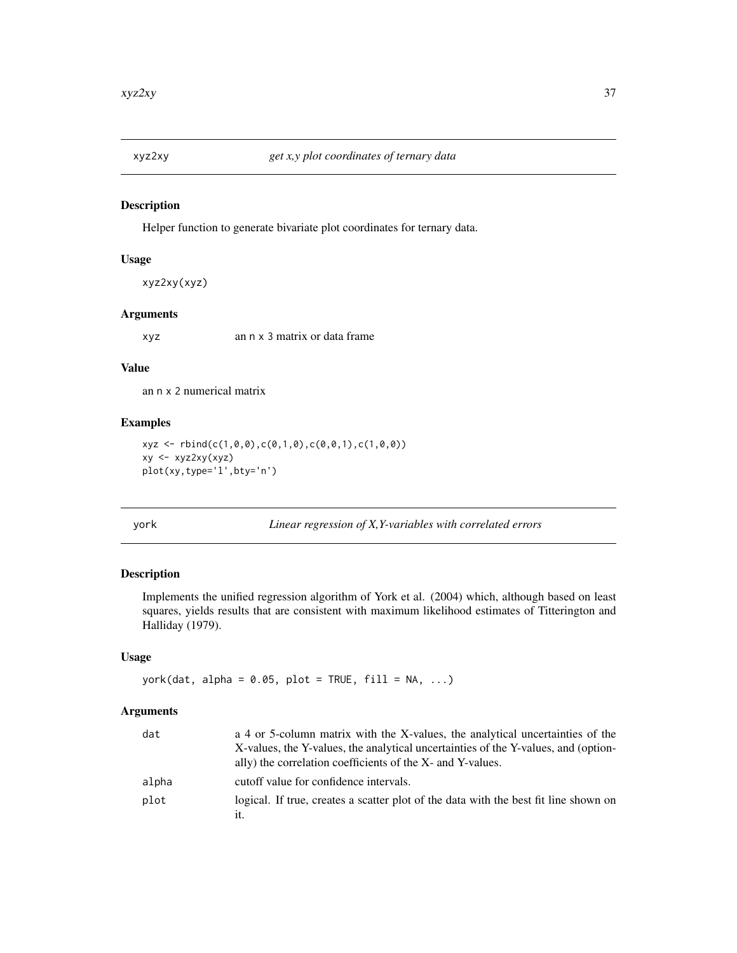<span id="page-36-0"></span>

Helper function to generate bivariate plot coordinates for ternary data.

#### Usage

```
xyz2xy(xyz)
```
#### Arguments

xyz an n x 3 matrix or data frame

#### Value

an n x 2 numerical matrix

## Examples

```
xyz \leftarrow \text{rbind}(c(1, 0, 0), c(0, 1, 0), c(0, 0, 1), c(1, 0, 0))xy <- xyz2xy(xyz)
plot(xy,type='l',bty='n')
```
york *Linear regression of X,Y-variables with correlated errors*

## Description

Implements the unified regression algorithm of York et al. (2004) which, although based on least squares, yields results that are consistent with maximum likelihood estimates of Titterington and Halliday (1979).

#### Usage

```
york(dat, alpha = 0.05, plot = TRUE, fill = NA, ...)
```
## Arguments

| dat   | a 4 or 5-column matrix with the X-values, the analytical uncertainties of the        |
|-------|--------------------------------------------------------------------------------------|
|       | X-values, the Y-values, the analytical uncertainties of the Y-values, and (option-   |
|       | ally) the correlation coefficients of the X- and Y-values.                           |
| alpha | cutoff value for confidence intervals.                                               |
| plot  | logical. If true, creates a scatter plot of the data with the best fit line shown on |
|       | it.                                                                                  |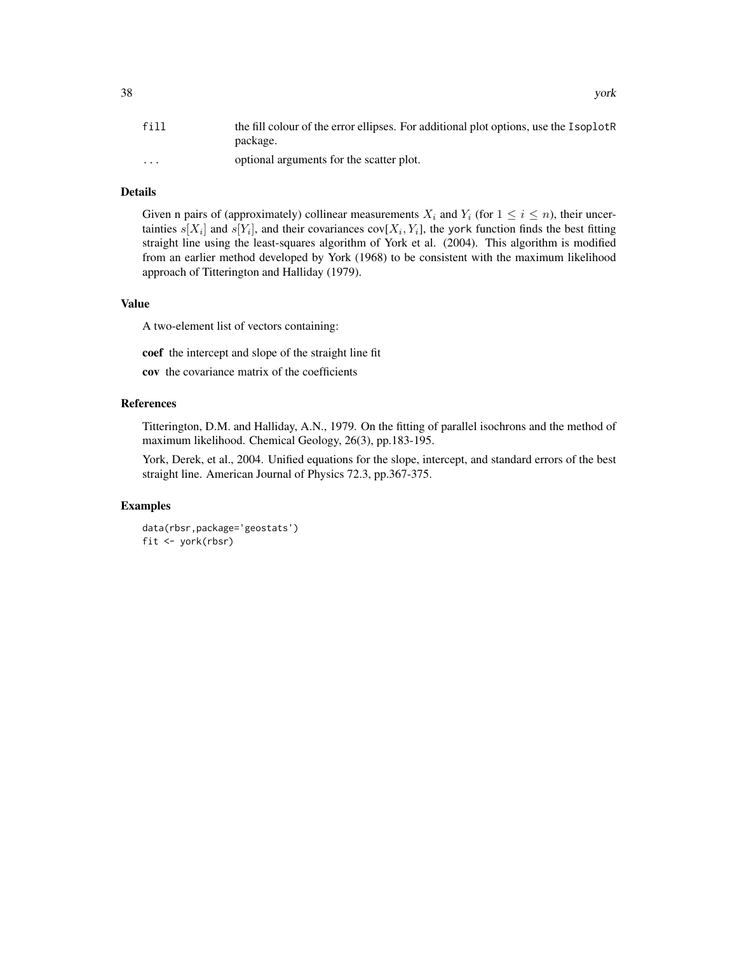| fill                    | the fill colour of the error ellipses. For additional plot options, use the IsoplotR<br>package. |
|-------------------------|--------------------------------------------------------------------------------------------------|
| $\cdot$ $\cdot$ $\cdot$ | optional arguments for the scatter plot.                                                         |

## Details

Given n pairs of (approximately) collinear measurements  $X_i$  and  $Y_i$  (for  $1 \leq i \leq n$ ), their uncertainties  $s[X_i]$  and  $s[Y_i]$ , and their covariances cov $[X_i, Y_i]$ , the york function finds the best fitting straight line using the least-squares algorithm of York et al. (2004). This algorithm is modified from an earlier method developed by York (1968) to be consistent with the maximum likelihood approach of Titterington and Halliday (1979).

## Value

A two-element list of vectors containing:

coef the intercept and slope of the straight line fit

cov the covariance matrix of the coefficients

## References

Titterington, D.M. and Halliday, A.N., 1979. On the fitting of parallel isochrons and the method of maximum likelihood. Chemical Geology, 26(3), pp.183-195.

York, Derek, et al., 2004. Unified equations for the slope, intercept, and standard errors of the best straight line. American Journal of Physics 72.3, pp.367-375.

#### Examples

data(rbsr,package='geostats') fit <- york(rbsr)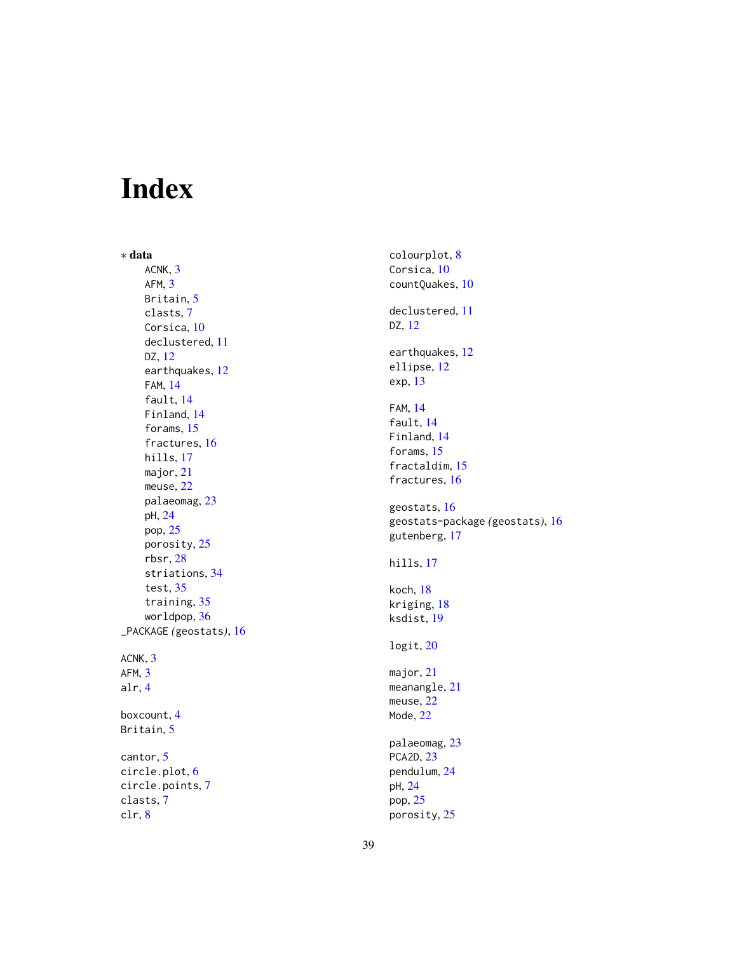# <span id="page-38-0"></span>Index

∗ data ACNK , [3](#page-2-0) AFM , [3](#page-2-0) Britain, [5](#page-4-0) clasts , [7](#page-6-0) Corsica, [10](#page-9-0) declustered , [11](#page-10-0) DZ , [12](#page-11-0) earthquakes , [12](#page-11-0) FAM , [14](#page-13-0) fault, [14](#page-13-0) Finland , [14](#page-13-0) forams , [15](#page-14-0) fractures, [16](#page-15-0) hills , [17](#page-16-0) major , [21](#page-20-0) meuse , [22](#page-21-0) palaeomag , [23](#page-22-0) pH , [24](#page-23-0) pop , [25](#page-24-0) porosity , [25](#page-24-0) rbsr , [28](#page-27-0) striations , [34](#page-33-0) test , [35](#page-34-0) training , [35](#page-34-0) worldpop , [36](#page-35-0) \_PACKAGE *(*geostats *)* , [16](#page-15-0) ACNK, [3](#page-2-0) AFM , [3](#page-2-0) alr , [4](#page-3-0) boxcount , [4](#page-3-0) Britain, <mark>[5](#page-4-0)</mark> cantor , [5](#page-4-0) circle.plot , [6](#page-5-0) circle.points , [7](#page-6-0)

```
clasts
,
7
clr
,
8
```
colourplot , [8](#page-7-0) Corsica, [10](#page-9-0) countQuakes , [10](#page-9-0) declustered , [11](#page-10-0) DZ , [12](#page-11-0) earthquakes , [12](#page-11-0) ellipse , [12](#page-11-0) exp , [13](#page-12-0) FAM , [14](#page-13-0) fault , [14](#page-13-0) Finland , [14](#page-13-0) forams, [15](#page-14-0) fractaldim, [15](#page-14-0) fractures, [16](#page-15-0) geostats , [16](#page-15-0) geostats-package *(*geostats *)* , [16](#page-15-0) gutenberg , [17](#page-16-0) hills , [17](#page-16-0) koch , [18](#page-17-0) kriging , [18](#page-17-0) ksdist , [19](#page-18-0) logit , [20](#page-19-0) major , [21](#page-20-0) meanangle, [21](#page-20-0) meuse , [22](#page-21-0) Mode , [22](#page-21-0) palaeomag , [23](#page-22-0) PCA2D , [23](#page-22-0) pendulum , [24](#page-23-0) pH , [24](#page-23-0) pop , [25](#page-24-0) porosity , [25](#page-24-0)